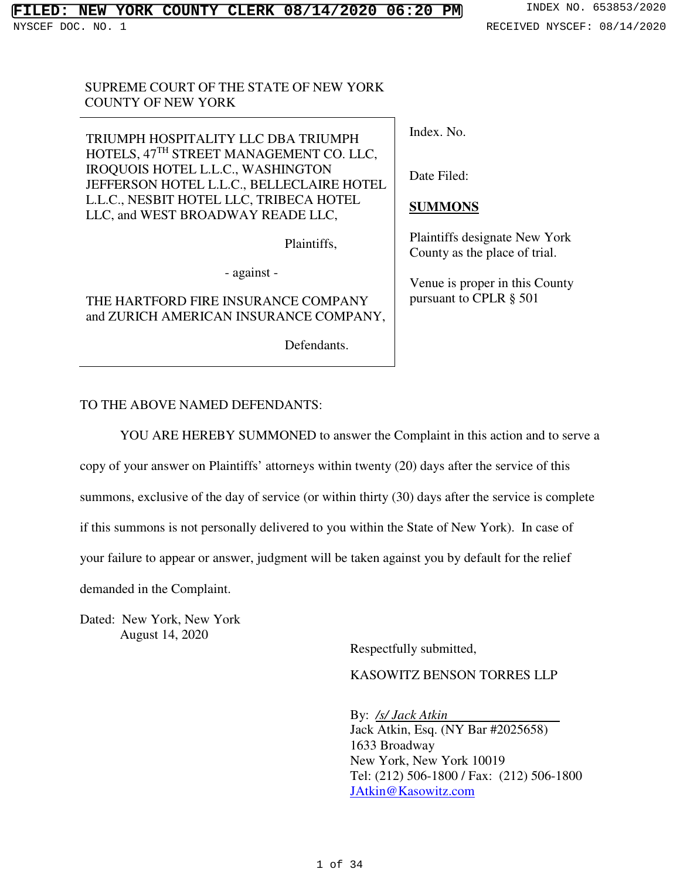## SUPREME COURT OF THE STATE OF NEW YORK COUNTY OF NEW YORK

TRIUMPH HOSPITALITY LLC DBA TRIUMPH HOTELS, 47<sup>TH</sup> STREET MANAGEMENT CO. LLC, IROQUOIS HOTEL L.L.C., WASHINGTON JEFFERSON HOTEL L.L.C., BELLECLAIRE HOTEL L.L.C., NESBIT HOTEL LLC, TRIBECA HOTEL LLC, and WEST BROADWAY READE LLC,

Plaintiffs,

- against -

## THE HARTFORD FIRE INSURANCE COMPANY and ZURICH AMERICAN INSURANCE COMPANY,

Defendants.

Index. No.

Date Filed:

## **SUMMONS**

Plaintiffs designate New York County as the place of trial.

Venue is proper in this County pursuant to CPLR § 501

## TO THE ABOVE NAMED DEFENDANTS:

YOU ARE HEREBY SUMMONED to answer the Complaint in this action and to serve a

copy of your answer on Plaintiffs' attorneys within twenty (20) days after the service of this

summons, exclusive of the day of service (or within thirty (30) days after the service is complete

if this summons is not personally delivered to you within the State of New York). In case of

your failure to appear or answer, judgment will be taken against you by default for the relief

demanded in the Complaint.

Dated: New York, New York August 14, 2020

Respectfully submitted,

KASOWITZ BENSON TORRES LLP

By: */s/ Jack Atkin*  Jack Atkin, Esq. (NY Bar #2025658) 1633 Broadway New York, New York 10019 Tel: (212) 506-1800 / Fax: (212) 506-1800 JAtkin@Kasowitz.com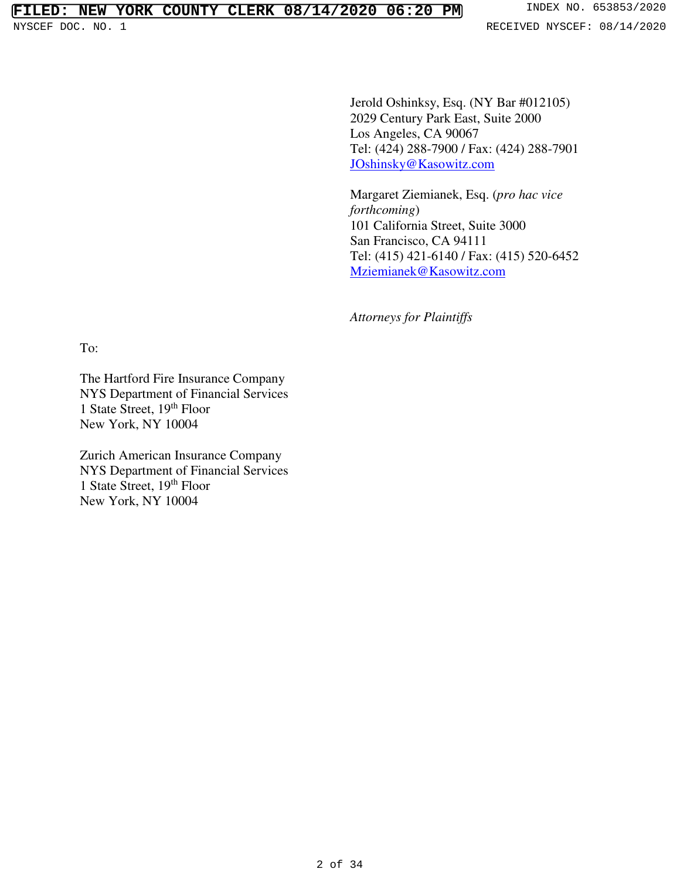Jerold Oshinksy, Esq. (NY Bar #012105) 2029 Century Park East, Suite 2000 Los Angeles, CA 90067 Tel: (424) 288-7900 / Fax: (424) 288-7901 JOshinsky@Kasowitz.com

Margaret Ziemianek, Esq. (*pro hac vice forthcoming*) 101 California Street, Suite 3000 San Francisco, CA 94111 Tel: (415) 421-6140 / Fax: (415) 520-6452 Mziemianek@Kasowitz.com

*Attorneys for Plaintiffs* 

To:

The Hartford Fire Insurance Company NYS Department of Financial Services 1 State Street, 19<sup>th</sup> Floor New York, NY 10004

Zurich American Insurance Company NYS Department of Financial Services 1 State Street, 19<sup>th</sup> Floor New York, NY 10004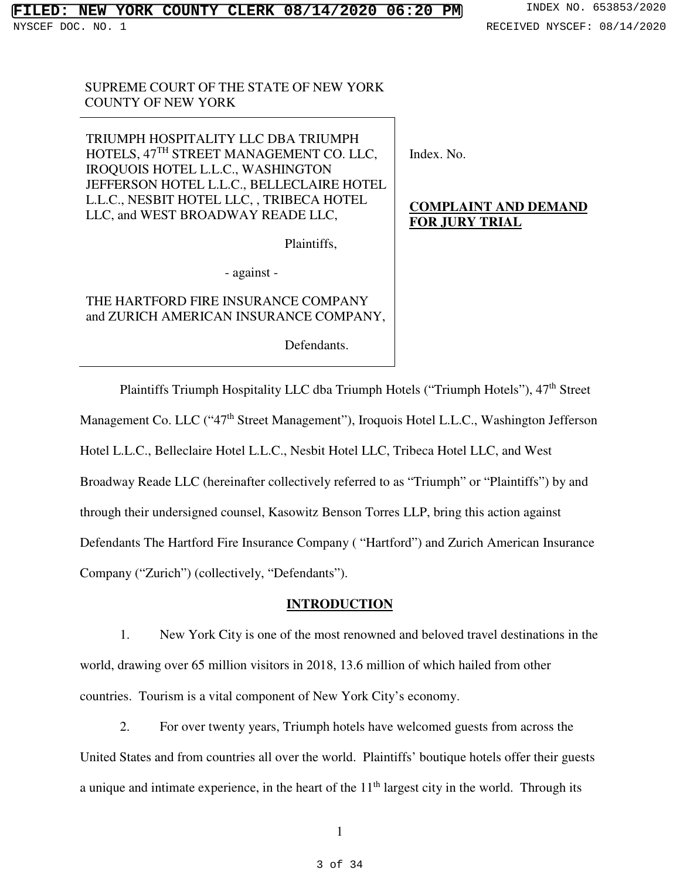SUPREME COURT OF THE STATE OF NEW YORK COUNTY OF NEW YORK

TRIUMPH HOSPITALITY LLC DBA TRIUMPH HOTELS, 47<sup>TH</sup> STREET MANAGEMENT CO. LLC, IROQUOIS HOTEL L.L.C., WASHINGTON JEFFERSON HOTEL L.L.C., BELLECLAIRE HOTEL L.L.C., NESBIT HOTEL LLC, , TRIBECA HOTEL LLC, and WEST BROADWAY READE LLC,

Plaintiffs,

- against -

THE HARTFORD FIRE INSURANCE COMPANY and ZURICH AMERICAN INSURANCE COMPANY,

Defendants.

Index. No.

# **COMPLAINT AND DEMAND FOR JURY TRIAL**

Plaintiffs Triumph Hospitality LLC dba Triumph Hotels ("Triumph Hotels"), 47<sup>th</sup> Street Management Co. LLC ("47<sup>th</sup> Street Management"), Iroquois Hotel L.L.C., Washington Jefferson Hotel L.L.C., Belleclaire Hotel L.L.C., Nesbit Hotel LLC, Tribeca Hotel LLC, and West Broadway Reade LLC (hereinafter collectively referred to as "Triumph" or "Plaintiffs") by and through their undersigned counsel, Kasowitz Benson Torres LLP, bring this action against Defendants The Hartford Fire Insurance Company ( "Hartford") and Zurich American Insurance Company ("Zurich") (collectively, "Defendants").

## **INTRODUCTION**

1. New York City is one of the most renowned and beloved travel destinations in the world, drawing over 65 million visitors in 2018, 13.6 million of which hailed from other countries. Tourism is a vital component of New York City's economy.

2. For over twenty years, Triumph hotels have welcomed guests from across the United States and from countries all over the world. Plaintiffs' boutique hotels offer their guests a unique and intimate experience, in the heart of the  $11<sup>th</sup>$  largest city in the world. Through its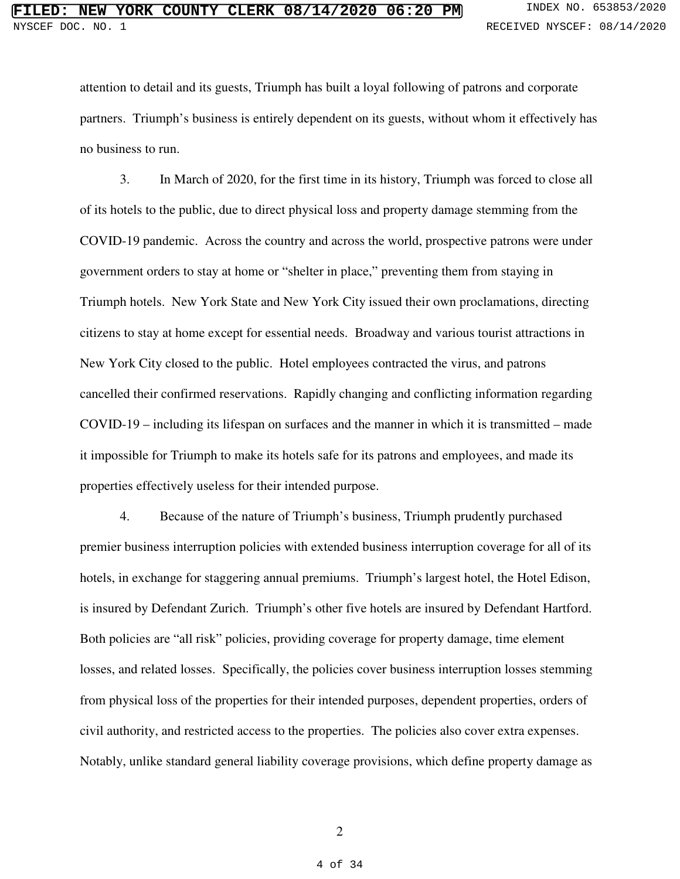attention to detail and its guests, Triumph has built a loyal following of patrons and corporate partners. Triumph's business is entirely dependent on its guests, without whom it effectively has no business to run.

3. In March of 2020, for the first time in its history, Triumph was forced to close all of its hotels to the public, due to direct physical loss and property damage stemming from the COVID-19 pandemic. Across the country and across the world, prospective patrons were under government orders to stay at home or "shelter in place," preventing them from staying in Triumph hotels. New York State and New York City issued their own proclamations, directing citizens to stay at home except for essential needs. Broadway and various tourist attractions in New York City closed to the public. Hotel employees contracted the virus, and patrons cancelled their confirmed reservations. Rapidly changing and conflicting information regarding COVID-19 – including its lifespan on surfaces and the manner in which it is transmitted – made it impossible for Triumph to make its hotels safe for its patrons and employees, and made its properties effectively useless for their intended purpose.

4. Because of the nature of Triumph's business, Triumph prudently purchased premier business interruption policies with extended business interruption coverage for all of its hotels, in exchange for staggering annual premiums. Triumph's largest hotel, the Hotel Edison, is insured by Defendant Zurich. Triumph's other five hotels are insured by Defendant Hartford. Both policies are "all risk" policies, providing coverage for property damage, time element losses, and related losses. Specifically, the policies cover business interruption losses stemming from physical loss of the properties for their intended purposes, dependent properties, orders of civil authority, and restricted access to the properties. The policies also cover extra expenses. Notably, unlike standard general liability coverage provisions, which define property damage as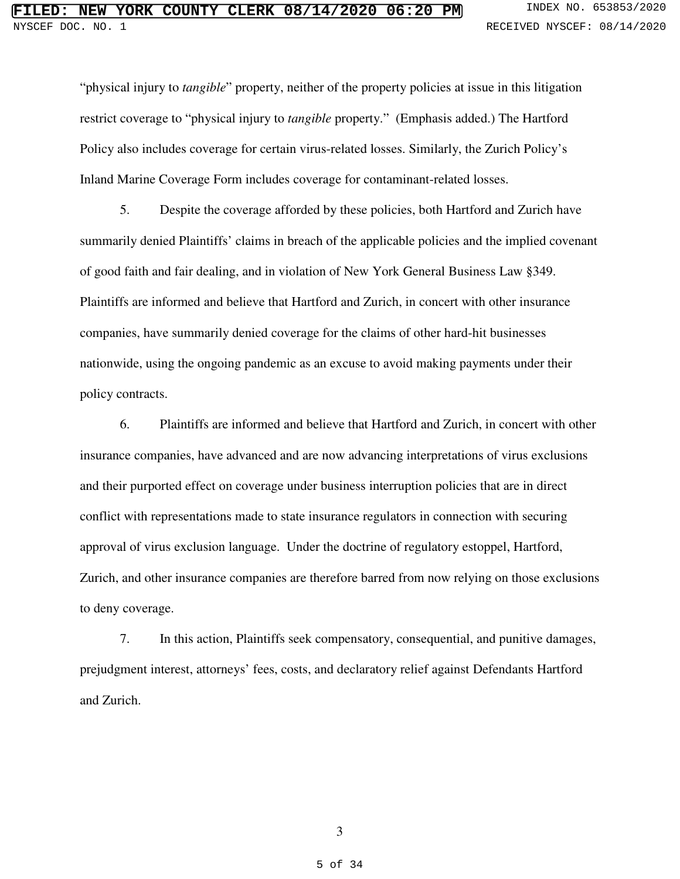"physical injury to *tangible*" property, neither of the property policies at issue in this litigation restrict coverage to "physical injury to *tangible* property." (Emphasis added.) The Hartford Policy also includes coverage for certain virus-related losses. Similarly, the Zurich Policy's Inland Marine Coverage Form includes coverage for contaminant-related losses.

5. Despite the coverage afforded by these policies, both Hartford and Zurich have summarily denied Plaintiffs' claims in breach of the applicable policies and the implied covenant of good faith and fair dealing, and in violation of New York General Business Law §349. Plaintiffs are informed and believe that Hartford and Zurich, in concert with other insurance companies, have summarily denied coverage for the claims of other hard-hit businesses nationwide, using the ongoing pandemic as an excuse to avoid making payments under their policy contracts.

6. Plaintiffs are informed and believe that Hartford and Zurich, in concert with other insurance companies, have advanced and are now advancing interpretations of virus exclusions and their purported effect on coverage under business interruption policies that are in direct conflict with representations made to state insurance regulators in connection with securing approval of virus exclusion language. Under the doctrine of regulatory estoppel, Hartford, Zurich, and other insurance companies are therefore barred from now relying on those exclusions to deny coverage.

7. In this action, Plaintiffs seek compensatory, consequential, and punitive damages, prejudgment interest, attorneys' fees, costs, and declaratory relief against Defendants Hartford and Zurich.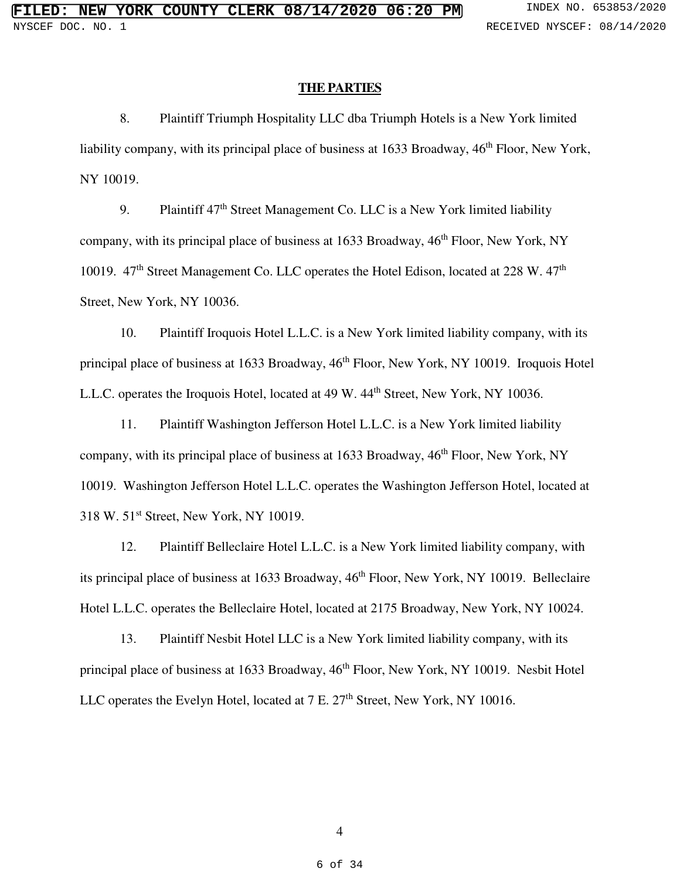#### **THE PARTIES**

8. Plaintiff Triumph Hospitality LLC dba Triumph Hotels is a New York limited liability company, with its principal place of business at  $1633$  Broadway,  $46<sup>th</sup>$  Floor, New York, NY 10019.

9. Plaintiff  $47<sup>th</sup>$  Street Management Co. LLC is a New York limited liability company, with its principal place of business at  $1633$  Broadway,  $46<sup>th</sup>$  Floor, New York, NY 10019. 47<sup>th</sup> Street Management Co. LLC operates the Hotel Edison, located at 228 W. 47<sup>th</sup> Street, New York, NY 10036.

10. Plaintiff Iroquois Hotel L.L.C. is a New York limited liability company, with its principal place of business at 1633 Broadway, 46<sup>th</sup> Floor, New York, NY 10019. Iroquois Hotel L.L.C. operates the Iroquois Hotel, located at 49 W. 44<sup>th</sup> Street, New York, NY 10036.

11. Plaintiff Washington Jefferson Hotel L.L.C. is a New York limited liability company, with its principal place of business at  $1633$  Broadway,  $46<sup>th</sup>$  Floor, New York, NY 10019. Washington Jefferson Hotel L.L.C. operates the Washington Jefferson Hotel, located at 318 W. 51st Street, New York, NY 10019.

12. Plaintiff Belleclaire Hotel L.L.C. is a New York limited liability company, with its principal place of business at 1633 Broadway, 46<sup>th</sup> Floor, New York, NY 10019. Belleclaire Hotel L.L.C. operates the Belleclaire Hotel, located at 2175 Broadway, New York, NY 10024.

13. Plaintiff Nesbit Hotel LLC is a New York limited liability company, with its principal place of business at 1633 Broadway,  $46<sup>th</sup>$  Floor, New York, NY 10019. Nesbit Hotel LLC operates the Evelyn Hotel, located at 7 E. 27<sup>th</sup> Street, New York, NY 10016.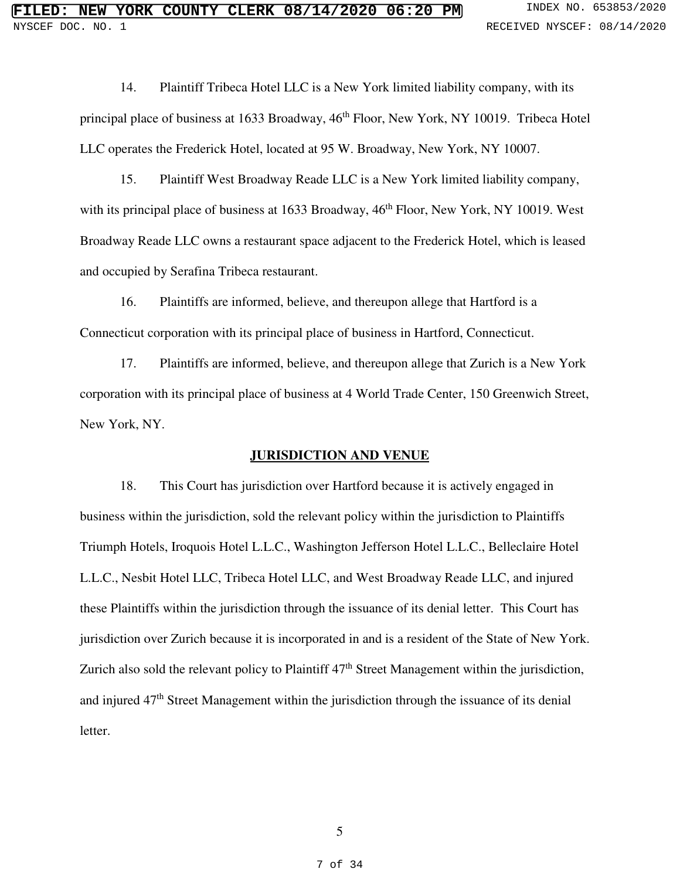14. Plaintiff Tribeca Hotel LLC is a New York limited liability company, with its principal place of business at 1633 Broadway, 46<sup>th</sup> Floor, New York, NY 10019. Tribeca Hotel LLC operates the Frederick Hotel, located at 95 W. Broadway, New York, NY 10007.

15. Plaintiff West Broadway Reade LLC is a New York limited liability company, with its principal place of business at 1633 Broadway, 46<sup>th</sup> Floor, New York, NY 10019. West Broadway Reade LLC owns a restaurant space adjacent to the Frederick Hotel, which is leased and occupied by Serafina Tribeca restaurant.

16. Plaintiffs are informed, believe, and thereupon allege that Hartford is a Connecticut corporation with its principal place of business in Hartford, Connecticut.

17. Plaintiffs are informed, believe, and thereupon allege that Zurich is a New York corporation with its principal place of business at 4 World Trade Center, 150 Greenwich Street, New York, NY.

#### **JURISDICTION AND VENUE**

18. This Court has jurisdiction over Hartford because it is actively engaged in business within the jurisdiction, sold the relevant policy within the jurisdiction to Plaintiffs Triumph Hotels, Iroquois Hotel L.L.C., Washington Jefferson Hotel L.L.C., Belleclaire Hotel L.L.C., Nesbit Hotel LLC, Tribeca Hotel LLC, and West Broadway Reade LLC, and injured these Plaintiffs within the jurisdiction through the issuance of its denial letter. This Court has jurisdiction over Zurich because it is incorporated in and is a resident of the State of New York. Zurich also sold the relevant policy to Plaintiff 47<sup>th</sup> Street Management within the jurisdiction, and injured  $47<sup>th</sup>$  Street Management within the jurisdiction through the issuance of its denial letter.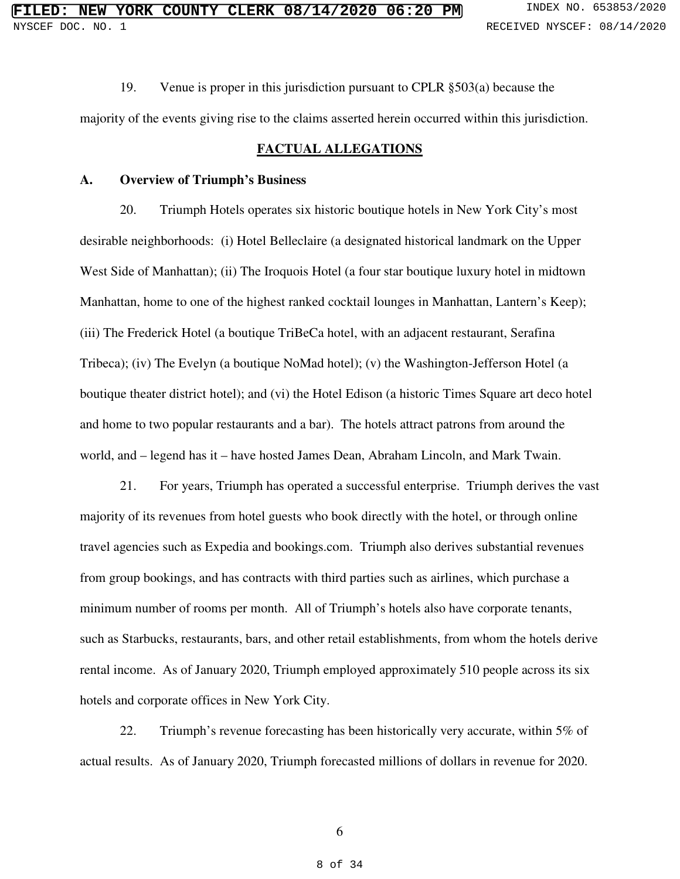19. Venue is proper in this jurisdiction pursuant to CPLR §503(a) because the

majority of the events giving rise to the claims asserted herein occurred within this jurisdiction.

## **FACTUAL ALLEGATIONS**

#### **A. Overview of Triumph's Business**

20. Triumph Hotels operates six historic boutique hotels in New York City's most desirable neighborhoods: (i) Hotel Belleclaire (a designated historical landmark on the Upper West Side of Manhattan); (ii) The Iroquois Hotel (a four star boutique luxury hotel in midtown Manhattan, home to one of the highest ranked cocktail lounges in Manhattan, Lantern's Keep); (iii) The Frederick Hotel (a boutique TriBeCa hotel, with an adjacent restaurant, Serafina Tribeca); (iv) The Evelyn (a boutique NoMad hotel); (v) the Washington-Jefferson Hotel (a boutique theater district hotel); and (vi) the Hotel Edison (a historic Times Square art deco hotel and home to two popular restaurants and a bar). The hotels attract patrons from around the world, and – legend has it – have hosted James Dean, Abraham Lincoln, and Mark Twain.

21. For years, Triumph has operated a successful enterprise. Triumph derives the vast majority of its revenues from hotel guests who book directly with the hotel, or through online travel agencies such as Expedia and bookings.com. Triumph also derives substantial revenues from group bookings, and has contracts with third parties such as airlines, which purchase a minimum number of rooms per month. All of Triumph's hotels also have corporate tenants, such as Starbucks, restaurants, bars, and other retail establishments, from whom the hotels derive rental income. As of January 2020, Triumph employed approximately 510 people across its six hotels and corporate offices in New York City.

22. Triumph's revenue forecasting has been historically very accurate, within 5% of actual results. As of January 2020, Triumph forecasted millions of dollars in revenue for 2020.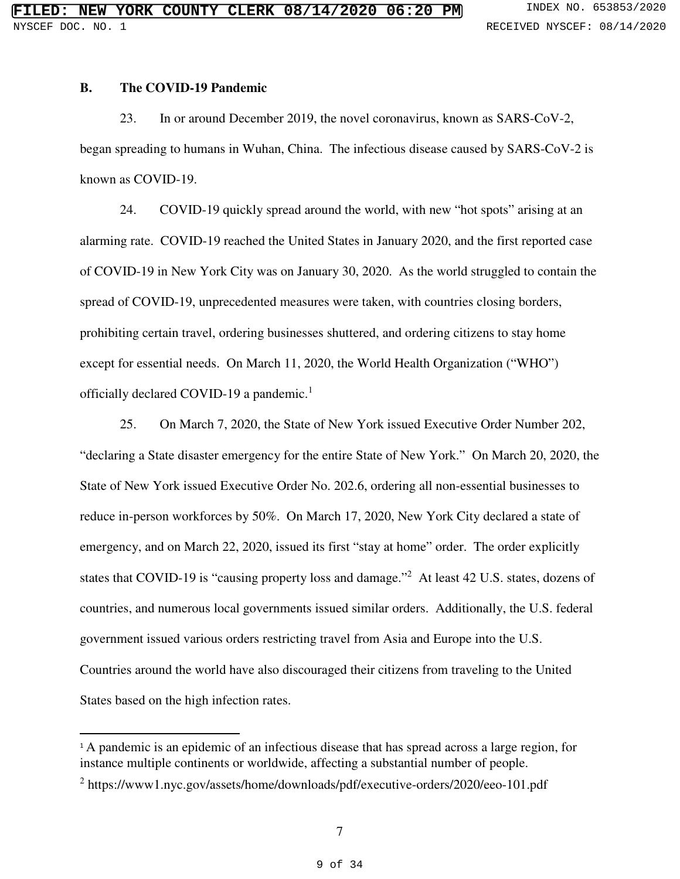#### **B. The COVID-19 Pandemic**

 $\overline{a}$ 

23. In or around December 2019, the novel coronavirus, known as SARS-CoV-2, began spreading to humans in Wuhan, China. The infectious disease caused by SARS-CoV-2 is known as COVID-19.

24. COVID-19 quickly spread around the world, with new "hot spots" arising at an alarming rate. COVID-19 reached the United States in January 2020, and the first reported case of COVID-19 in New York City was on January 30, 2020. As the world struggled to contain the spread of COVID-19, unprecedented measures were taken, with countries closing borders, prohibiting certain travel, ordering businesses shuttered, and ordering citizens to stay home except for essential needs. On March 11, 2020, the World Health Organization ("WHO") officially declared COVID-19 a pandemic.<sup>1</sup>

25. On March 7, 2020, the State of New York issued Executive Order Number 202, "declaring a State disaster emergency for the entire State of New York." On March 20, 2020, the State of New York issued Executive Order No. 202.6, ordering all non-essential businesses to reduce in-person workforces by 50%. On March 17, 2020, New York City declared a state of emergency, and on March 22, 2020, issued its first "stay at home" order. The order explicitly states that COVID-19 is "causing property loss and damage."<sup>2</sup> At least 42 U.S. states, dozens of countries, and numerous local governments issued similar orders. Additionally, the U.S. federal government issued various orders restricting travel from Asia and Europe into the U.S. Countries around the world have also discouraged their citizens from traveling to the United States based on the high infection rates.

<sup>&</sup>lt;sup>1</sup>A pandemic is an epidemic of an infectious disease that has spread across a large region, for instance multiple continents or worldwide, affecting a substantial number of people.

<sup>&</sup>lt;sup>2</sup> https://www1.nyc.gov/assets/home/downloads/pdf/executive-orders/2020/eeo-101.pdf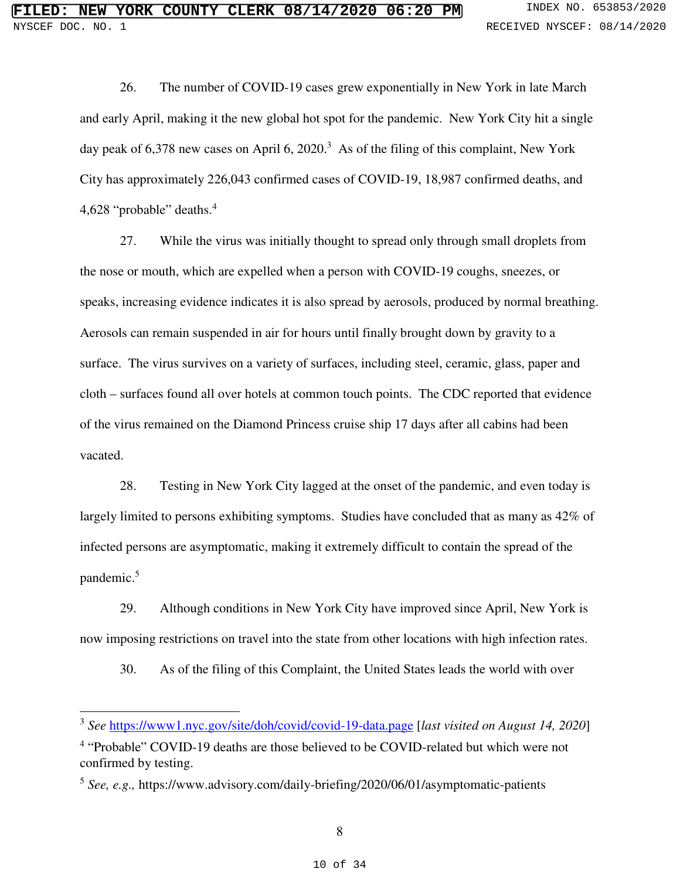26. The number of COVID-19 cases grew exponentially in New York in late March and early April, making it the new global hot spot for the pandemic. New York City hit a single day peak of 6,378 new cases on April 6, 2020.<sup>3</sup> As of the filing of this complaint, New York City has approximately 226,043 confirmed cases of COVID-19, 18,987 confirmed deaths, and 4,628 "probable" deaths.<sup>4</sup>

27. While the virus was initially thought to spread only through small droplets from the nose or mouth, which are expelled when a person with COVID-19 coughs, sneezes, or speaks, increasing evidence indicates it is also spread by aerosols, produced by normal breathing. Aerosols can remain suspended in air for hours until finally brought down by gravity to a surface. The virus survives on a variety of surfaces, including steel, ceramic, glass, paper and cloth – surfaces found all over hotels at common touch points. The CDC reported that evidence of the virus remained on the Diamond Princess cruise ship 17 days after all cabins had been vacated.

28. Testing in New York City lagged at the onset of the pandemic, and even today is largely limited to persons exhibiting symptoms. Studies have concluded that as many as 42% of infected persons are asymptomatic, making it extremely difficult to contain the spread of the pandemic.<sup>5</sup>

29. Although conditions in New York City have improved since April, New York is now imposing restrictions on travel into the state from other locations with high infection rates.

30. As of the filing of this Complaint, the United States leads the world with over

l

<sup>3</sup> *See* https://www1.nyc.gov/site/doh/covid/covid-19-data.page [*last visited on August 14, 2020*]

<sup>&</sup>lt;sup>4</sup> "Probable" COVID-19 deaths are those believed to be COVID-related but which were not confirmed by testing.

<sup>5</sup> *See, e.g.,* https://www.advisory.com/daily-briefing/2020/06/01/asymptomatic-patients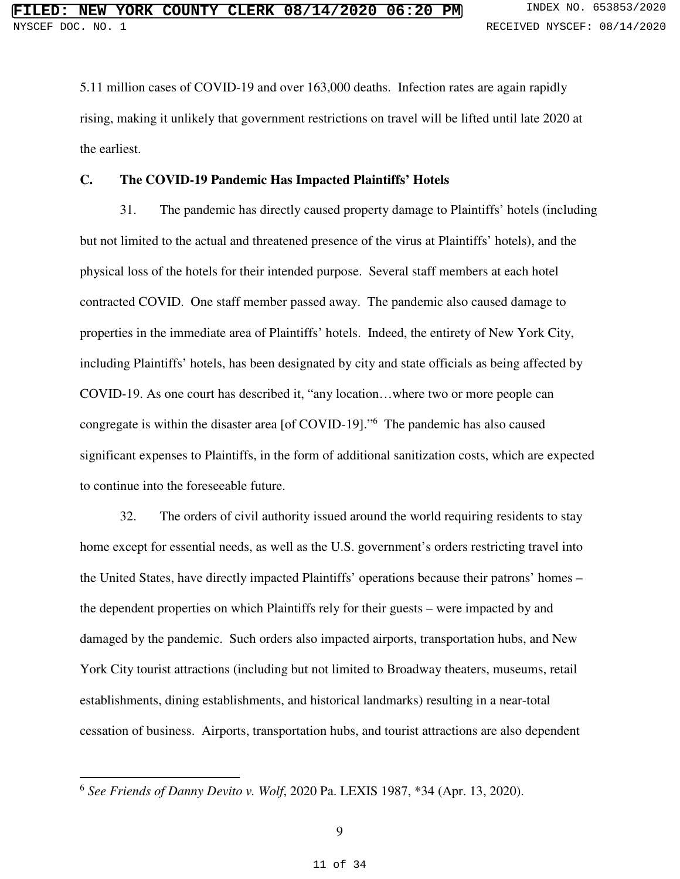5.11 million cases of COVID-19 and over 163,000 deaths. Infection rates are again rapidly rising, making it unlikely that government restrictions on travel will be lifted until late 2020 at the earliest.

## **C. The COVID-19 Pandemic Has Impacted Plaintiffs' Hotels**

31. The pandemic has directly caused property damage to Plaintiffs' hotels (including but not limited to the actual and threatened presence of the virus at Plaintiffs' hotels), and the physical loss of the hotels for their intended purpose. Several staff members at each hotel contracted COVID. One staff member passed away. The pandemic also caused damage to properties in the immediate area of Plaintiffs' hotels. Indeed, the entirety of New York City, including Plaintiffs' hotels, has been designated by city and state officials as being affected by COVID-19. As one court has described it, "any location…where two or more people can congregate is within the disaster area [of COVID-19]."<sup>6</sup> The pandemic has also caused significant expenses to Plaintiffs, in the form of additional sanitization costs, which are expected to continue into the foreseeable future.

32. The orders of civil authority issued around the world requiring residents to stay home except for essential needs, as well as the U.S. government's orders restricting travel into the United States, have directly impacted Plaintiffs' operations because their patrons' homes – the dependent properties on which Plaintiffs rely for their guests – were impacted by and damaged by the pandemic. Such orders also impacted airports, transportation hubs, and New York City tourist attractions (including but not limited to Broadway theaters, museums, retail establishments, dining establishments, and historical landmarks) resulting in a near-total cessation of business. Airports, transportation hubs, and tourist attractions are also dependent

l

<sup>6</sup> *See Friends of Danny Devito v. Wolf*, 2020 Pa. LEXIS 1987, \*34 (Apr. 13, 2020).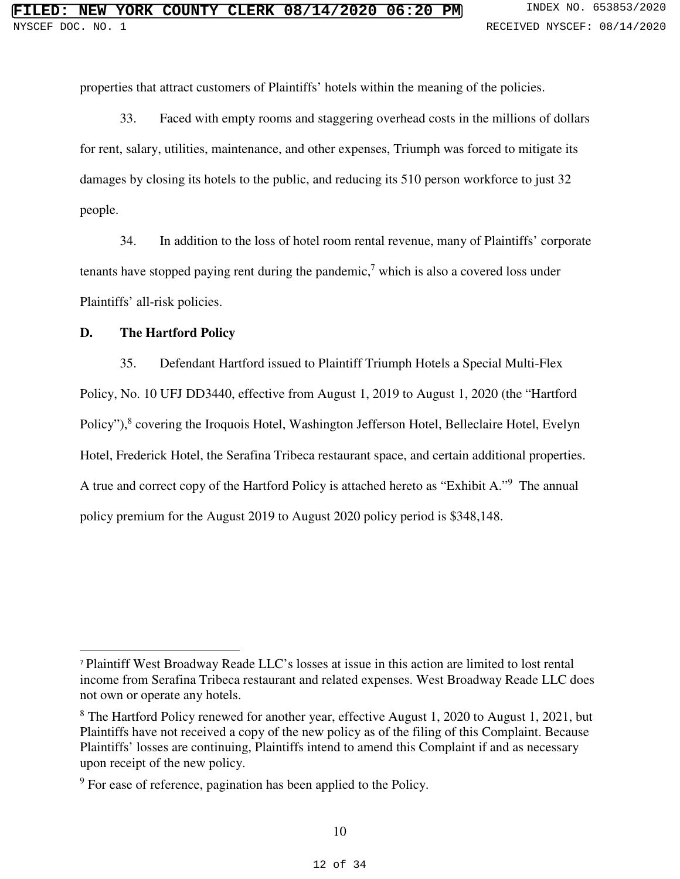properties that attract customers of Plaintiffs' hotels within the meaning of the policies.

33. Faced with empty rooms and staggering overhead costs in the millions of dollars for rent, salary, utilities, maintenance, and other expenses, Triumph was forced to mitigate its damages by closing its hotels to the public, and reducing its 510 person workforce to just 32 people.

34. In addition to the loss of hotel room rental revenue, many of Plaintiffs' corporate tenants have stopped paying rent during the pandemic,<sup>7</sup> which is also a covered loss under Plaintiffs' all-risk policies.

## **D. The Hartford Policy**

 $\overline{a}$ 

35. Defendant Hartford issued to Plaintiff Triumph Hotels a Special Multi-Flex Policy, No. 10 UFJ DD3440, effective from August 1, 2019 to August 1, 2020 (the "Hartford Policy"),<sup>8</sup> covering the Iroquois Hotel, Washington Jefferson Hotel, Belleclaire Hotel, Evelyn Hotel, Frederick Hotel, the Serafina Tribeca restaurant space, and certain additional properties. A true and correct copy of the Hartford Policy is attached hereto as "Exhibit A."<sup>9</sup> The annual policy premium for the August 2019 to August 2020 policy period is \$348,148.

<sup>7</sup> Plaintiff West Broadway Reade LLC's losses at issue in this action are limited to lost rental income from Serafina Tribeca restaurant and related expenses. West Broadway Reade LLC does not own or operate any hotels.

<sup>&</sup>lt;sup>8</sup> The Hartford Policy renewed for another year, effective August 1, 2020 to August 1, 2021, but Plaintiffs have not received a copy of the new policy as of the filing of this Complaint. Because Plaintiffs' losses are continuing, Plaintiffs intend to amend this Complaint if and as necessary upon receipt of the new policy.

<sup>&</sup>lt;sup>9</sup> For ease of reference, pagination has been applied to the Policy.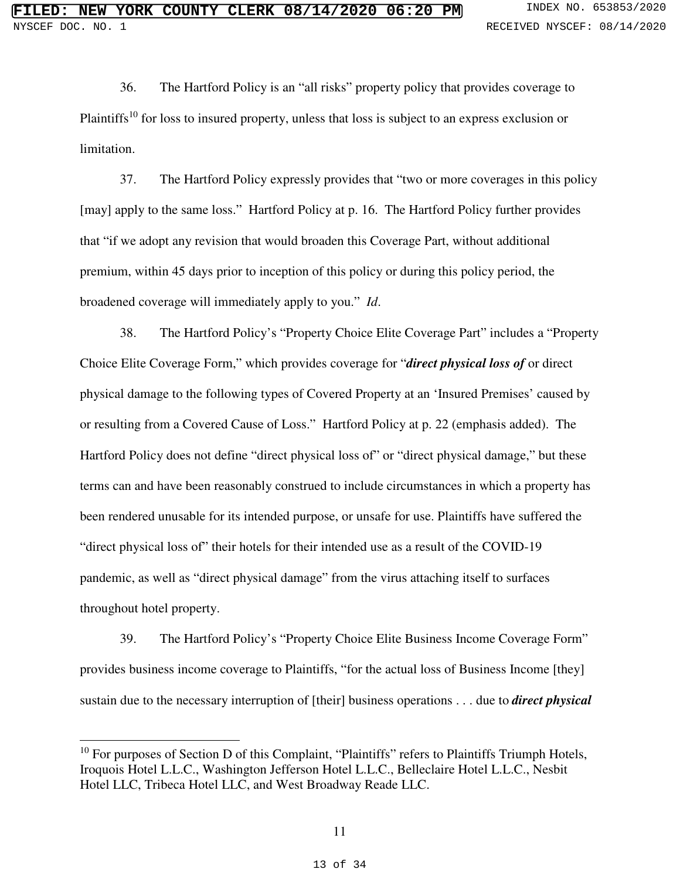36. The Hartford Policy is an "all risks" property policy that provides coverage to Plaintiffs<sup>10</sup> for loss to insured property, unless that loss is subject to an express exclusion or limitation.

37. The Hartford Policy expressly provides that "two or more coverages in this policy [may] apply to the same loss." Hartford Policy at p. 16. The Hartford Policy further provides that "if we adopt any revision that would broaden this Coverage Part, without additional premium, within 45 days prior to inception of this policy or during this policy period, the broadened coverage will immediately apply to you." *Id*.

38. The Hartford Policy's "Property Choice Elite Coverage Part" includes a "Property Choice Elite Coverage Form," which provides coverage for "*direct physical loss of* or direct physical damage to the following types of Covered Property at an 'Insured Premises' caused by or resulting from a Covered Cause of Loss." Hartford Policy at p. 22 (emphasis added). The Hartford Policy does not define "direct physical loss of" or "direct physical damage," but these terms can and have been reasonably construed to include circumstances in which a property has been rendered unusable for its intended purpose, or unsafe for use. Plaintiffs have suffered the "direct physical loss of" their hotels for their intended use as a result of the COVID-19 pandemic, as well as "direct physical damage" from the virus attaching itself to surfaces throughout hotel property.

39. The Hartford Policy's "Property Choice Elite Business Income Coverage Form" provides business income coverage to Plaintiffs, "for the actual loss of Business Income [they] sustain due to the necessary interruption of [their] business operations . . . due to *direct physical* 

 $\overline{a}$ 

<sup>&</sup>lt;sup>10</sup> For purposes of Section D of this Complaint, "Plaintiffs" refers to Plaintiffs Triumph Hotels, Iroquois Hotel L.L.C., Washington Jefferson Hotel L.L.C., Belleclaire Hotel L.L.C., Nesbit Hotel LLC, Tribeca Hotel LLC, and West Broadway Reade LLC.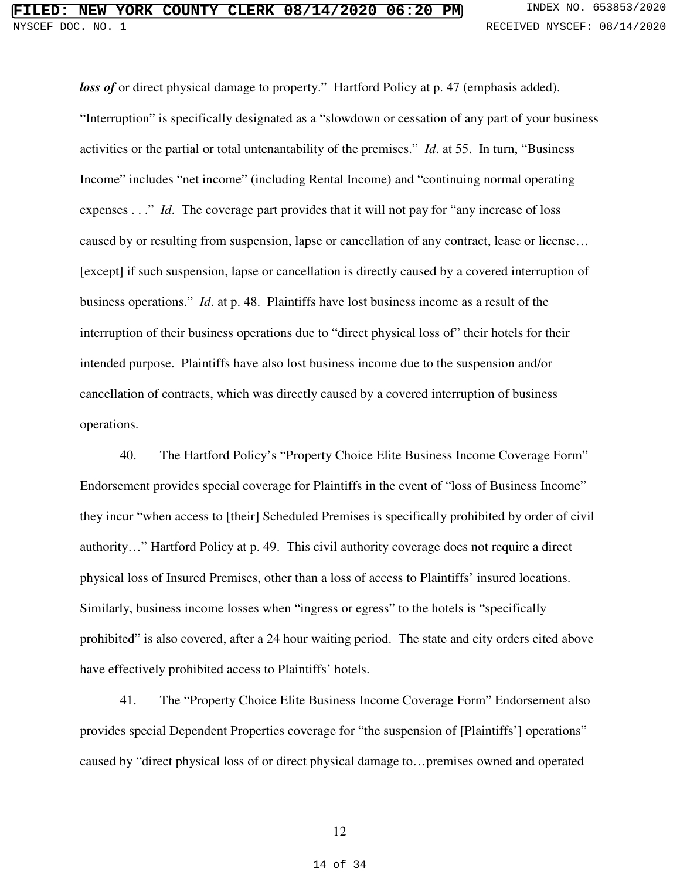# **FIRE COUNTY CLERK 08/14/2020 06:20 PM** INDEX NO. 653853/2020 NYSCEF DOC. NO. 1 RECEIVED NYSCEF: 08/14/2020

*loss of* or direct physical damage to property." Hartford Policy at p. 47 (emphasis added). "Interruption" is specifically designated as a "slowdown or cessation of any part of your business activities or the partial or total untenantability of the premises." *Id*. at 55. In turn, "Business Income" includes "net income" (including Rental Income) and "continuing normal operating expenses . . ." *Id*. The coverage part provides that it will not pay for "any increase of loss caused by or resulting from suspension, lapse or cancellation of any contract, lease or license… [except] if such suspension, lapse or cancellation is directly caused by a covered interruption of business operations." *Id*. at p. 48. Plaintiffs have lost business income as a result of the interruption of their business operations due to "direct physical loss of" their hotels for their intended purpose. Plaintiffs have also lost business income due to the suspension and/or cancellation of contracts, which was directly caused by a covered interruption of business operations.

40. The Hartford Policy's "Property Choice Elite Business Income Coverage Form" Endorsement provides special coverage for Plaintiffs in the event of "loss of Business Income" they incur "when access to [their] Scheduled Premises is specifically prohibited by order of civil authority…" Hartford Policy at p. 49. This civil authority coverage does not require a direct physical loss of Insured Premises, other than a loss of access to Plaintiffs' insured locations. Similarly, business income losses when "ingress or egress" to the hotels is "specifically prohibited" is also covered, after a 24 hour waiting period. The state and city orders cited above have effectively prohibited access to Plaintiffs' hotels.

41. The "Property Choice Elite Business Income Coverage Form" Endorsement also provides special Dependent Properties coverage for "the suspension of [Plaintiffs'] operations" caused by "direct physical loss of or direct physical damage to…premises owned and operated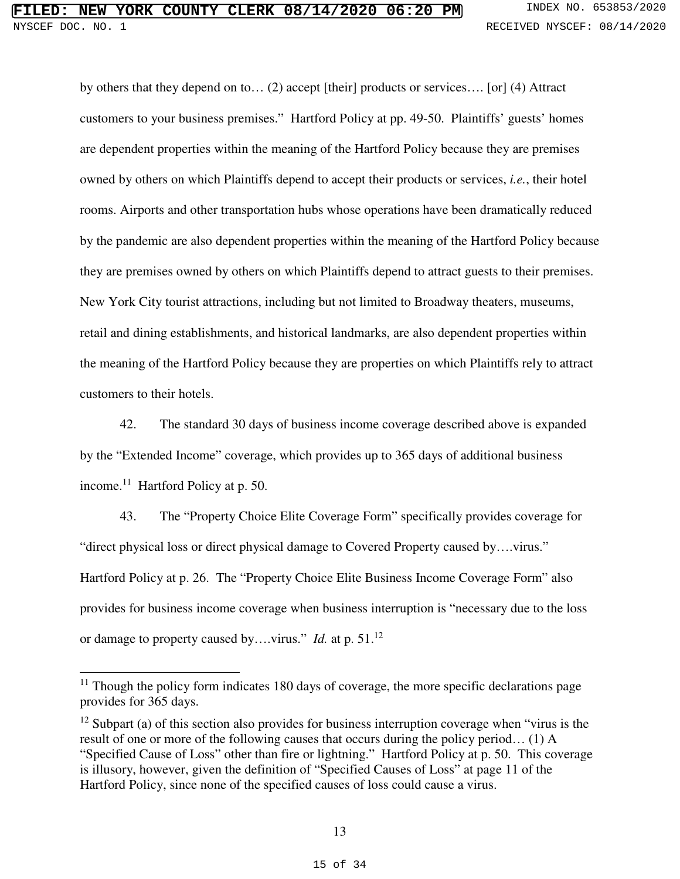# **FILED: NEW YORK COUNTY CLERK 08/14/2020 06:20 PM** INDEX NO. 653853/2020 NYSCEF DOC. NO. 1 **RECEIVED NYSCEF: 08/14/2020**

by others that they depend on to… (2) accept [their] products or services…. [or] (4) Attract customers to your business premises." Hartford Policy at pp. 49-50. Plaintiffs' guests' homes are dependent properties within the meaning of the Hartford Policy because they are premises owned by others on which Plaintiffs depend to accept their products or services, *i.e.*, their hotel rooms. Airports and other transportation hubs whose operations have been dramatically reduced by the pandemic are also dependent properties within the meaning of the Hartford Policy because they are premises owned by others on which Plaintiffs depend to attract guests to their premises. New York City tourist attractions, including but not limited to Broadway theaters, museums, retail and dining establishments, and historical landmarks, are also dependent properties within the meaning of the Hartford Policy because they are properties on which Plaintiffs rely to attract customers to their hotels.

42. The standard 30 days of business income coverage described above is expanded by the "Extended Income" coverage, which provides up to 365 days of additional business income.<sup>11</sup> Hartford Policy at p. 50.

43. The "Property Choice Elite Coverage Form" specifically provides coverage for "direct physical loss or direct physical damage to Covered Property caused by….virus." Hartford Policy at p. 26. The "Property Choice Elite Business Income Coverage Form" also provides for business income coverage when business interruption is "necessary due to the loss or damage to property caused by….virus." *Id.* at p. 51.<sup>12</sup>

 $\overline{a}$ 

 $11$  Though the policy form indicates 180 days of coverage, the more specific declarations page provides for 365 days.

 $12$  Subpart (a) of this section also provides for business interruption coverage when "virus is the result of one or more of the following causes that occurs during the policy period… (1) A "Specified Cause of Loss" other than fire or lightning." Hartford Policy at p. 50. This coverage is illusory, however, given the definition of "Specified Causes of Loss" at page 11 of the Hartford Policy, since none of the specified causes of loss could cause a virus.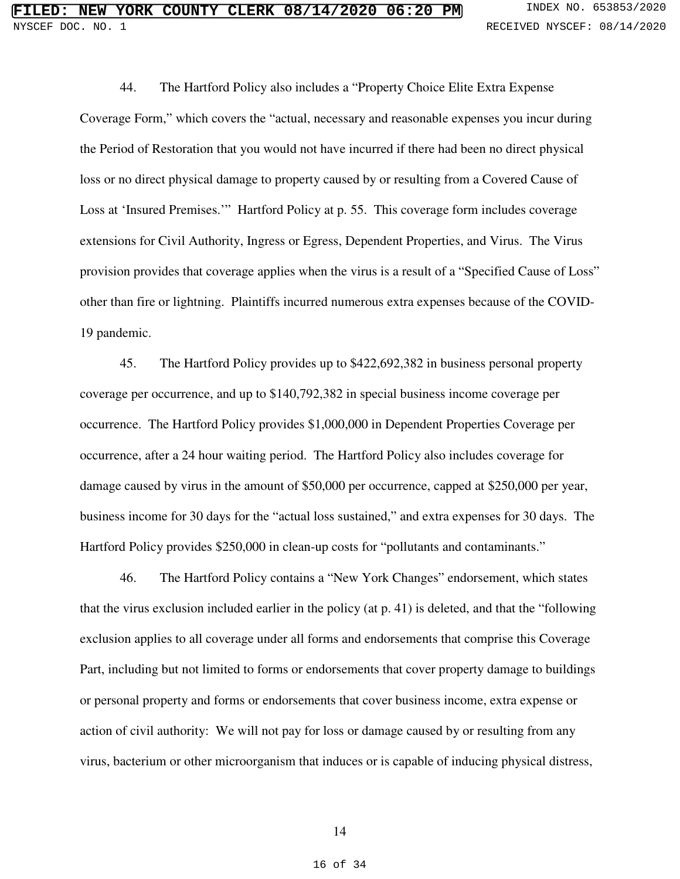44. The Hartford Policy also includes a "Property Choice Elite Extra Expense Coverage Form," which covers the "actual, necessary and reasonable expenses you incur during the Period of Restoration that you would not have incurred if there had been no direct physical loss or no direct physical damage to property caused by or resulting from a Covered Cause of Loss at 'Insured Premises.'" Hartford Policy at p. 55. This coverage form includes coverage extensions for Civil Authority, Ingress or Egress, Dependent Properties, and Virus. The Virus provision provides that coverage applies when the virus is a result of a "Specified Cause of Loss" other than fire or lightning. Plaintiffs incurred numerous extra expenses because of the COVID-19 pandemic.

45. The Hartford Policy provides up to \$422,692,382 in business personal property coverage per occurrence, and up to \$140,792,382 in special business income coverage per occurrence. The Hartford Policy provides \$1,000,000 in Dependent Properties Coverage per occurrence, after a 24 hour waiting period. The Hartford Policy also includes coverage for damage caused by virus in the amount of \$50,000 per occurrence, capped at \$250,000 per year, business income for 30 days for the "actual loss sustained," and extra expenses for 30 days. The Hartford Policy provides \$250,000 in clean-up costs for "pollutants and contaminants."

46. The Hartford Policy contains a "New York Changes" endorsement, which states that the virus exclusion included earlier in the policy (at p. 41) is deleted, and that the "following exclusion applies to all coverage under all forms and endorsements that comprise this Coverage Part, including but not limited to forms or endorsements that cover property damage to buildings or personal property and forms or endorsements that cover business income, extra expense or action of civil authority: We will not pay for loss or damage caused by or resulting from any virus, bacterium or other microorganism that induces or is capable of inducing physical distress,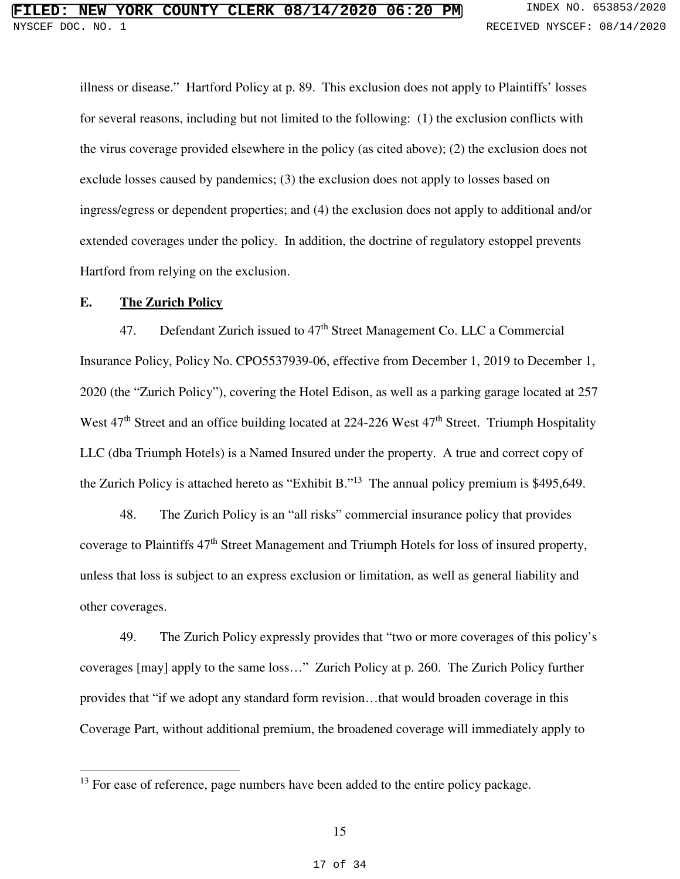illness or disease." Hartford Policy at p. 89. This exclusion does not apply to Plaintiffs' losses for several reasons, including but not limited to the following: (1) the exclusion conflicts with the virus coverage provided elsewhere in the policy (as cited above); (2) the exclusion does not exclude losses caused by pandemics; (3) the exclusion does not apply to losses based on ingress/egress or dependent properties; and (4) the exclusion does not apply to additional and/or extended coverages under the policy. In addition, the doctrine of regulatory estoppel prevents Hartford from relying on the exclusion.

## **E. The Zurich Policy**

l

47. Defendant Zurich issued to  $47<sup>th</sup>$  Street Management Co. LLC a Commercial Insurance Policy, Policy No. CPO5537939-06, effective from December 1, 2019 to December 1, 2020 (the "Zurich Policy"), covering the Hotel Edison, as well as a parking garage located at 257 West 47<sup>th</sup> Street and an office building located at 224-226 West 47<sup>th</sup> Street. Triumph Hospitality LLC (dba Triumph Hotels) is a Named Insured under the property. A true and correct copy of the Zurich Policy is attached hereto as "Exhibit B."<sup>13</sup> The annual policy premium is \$495,649.

48. The Zurich Policy is an "all risks" commercial insurance policy that provides coverage to Plaintiffs 47th Street Management and Triumph Hotels for loss of insured property, unless that loss is subject to an express exclusion or limitation, as well as general liability and other coverages.

49. The Zurich Policy expressly provides that "two or more coverages of this policy's coverages [may] apply to the same loss…" Zurich Policy at p. 260. The Zurich Policy further provides that "if we adopt any standard form revision…that would broaden coverage in this Coverage Part, without additional premium, the broadened coverage will immediately apply to

 $13$  For ease of reference, page numbers have been added to the entire policy package.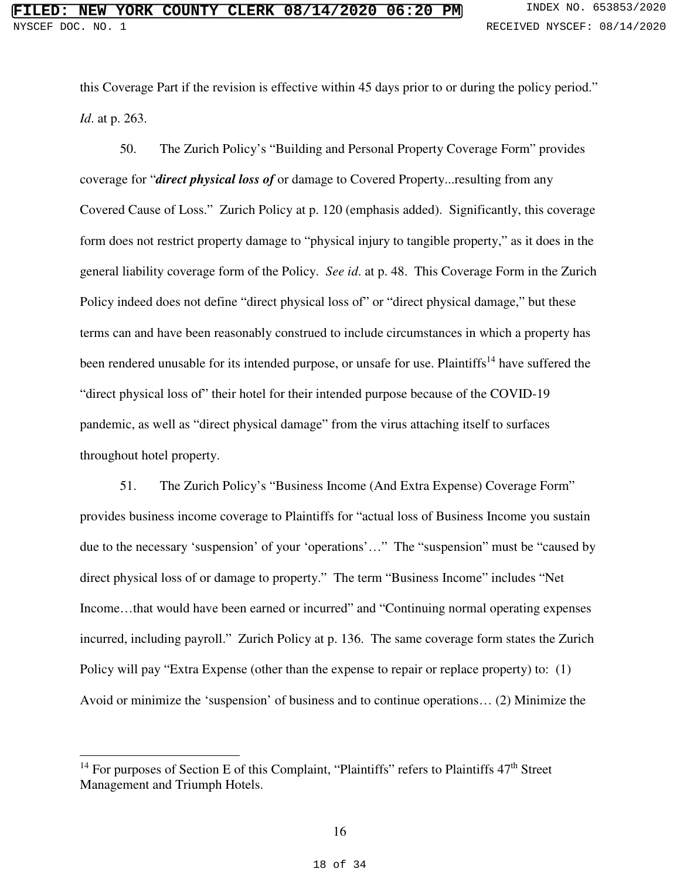this Coverage Part if the revision is effective within 45 days prior to or during the policy period." *Id*. at p. 263.

50. The Zurich Policy's "Building and Personal Property Coverage Form" provides coverage for "*direct physical loss of* or damage to Covered Property...resulting from any Covered Cause of Loss." Zurich Policy at p. 120 (emphasis added). Significantly, this coverage form does not restrict property damage to "physical injury to tangible property," as it does in the general liability coverage form of the Policy. *See id*. at p. 48. This Coverage Form in the Zurich Policy indeed does not define "direct physical loss of" or "direct physical damage," but these terms can and have been reasonably construed to include circumstances in which a property has been rendered unusable for its intended purpose, or unsafe for use. Plaintiffs<sup>14</sup> have suffered the "direct physical loss of" their hotel for their intended purpose because of the COVID-19 pandemic, as well as "direct physical damage" from the virus attaching itself to surfaces throughout hotel property.

51. The Zurich Policy's "Business Income (And Extra Expense) Coverage Form" provides business income coverage to Plaintiffs for "actual loss of Business Income you sustain due to the necessary 'suspension' of your 'operations'…" The "suspension" must be "caused by direct physical loss of or damage to property." The term "Business Income" includes "Net Income…that would have been earned or incurred" and "Continuing normal operating expenses incurred, including payroll." Zurich Policy at p. 136. The same coverage form states the Zurich Policy will pay "Extra Expense (other than the expense to repair or replace property) to: (1) Avoid or minimize the 'suspension' of business and to continue operations… (2) Minimize the

 $\overline{a}$ 

<sup>&</sup>lt;sup>14</sup> For purposes of Section E of this Complaint, "Plaintiffs" refers to Plaintiffs 47<sup>th</sup> Street Management and Triumph Hotels.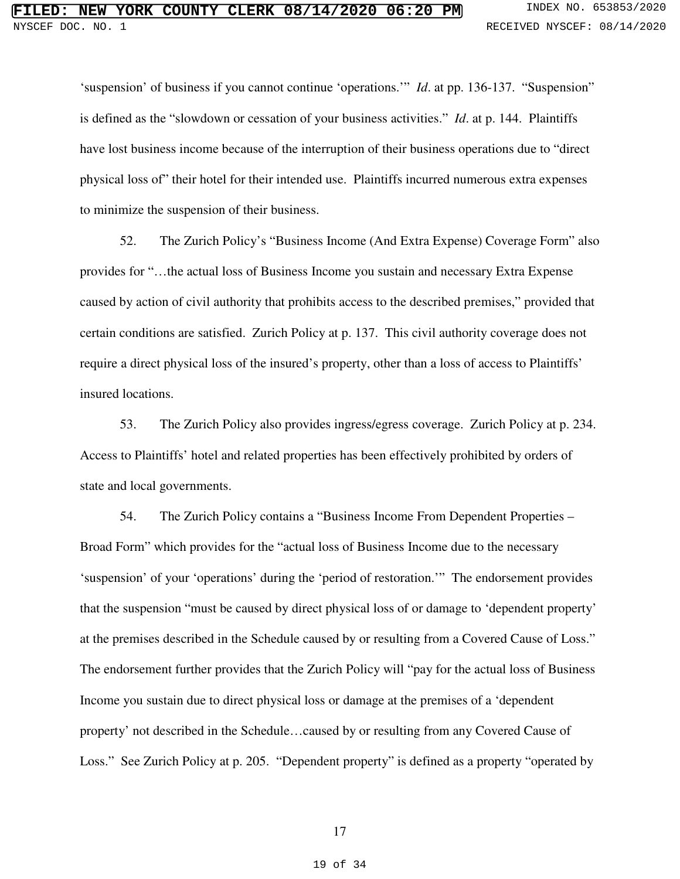'suspension' of business if you cannot continue 'operations.'" *Id*. at pp. 136-137. "Suspension" is defined as the "slowdown or cessation of your business activities." *Id*. at p. 144. Plaintiffs have lost business income because of the interruption of their business operations due to "direct physical loss of" their hotel for their intended use. Plaintiffs incurred numerous extra expenses to minimize the suspension of their business.

52. The Zurich Policy's "Business Income (And Extra Expense) Coverage Form" also provides for "…the actual loss of Business Income you sustain and necessary Extra Expense caused by action of civil authority that prohibits access to the described premises," provided that certain conditions are satisfied. Zurich Policy at p. 137. This civil authority coverage does not require a direct physical loss of the insured's property, other than a loss of access to Plaintiffs' insured locations.

53. The Zurich Policy also provides ingress/egress coverage. Zurich Policy at p. 234. Access to Plaintiffs' hotel and related properties has been effectively prohibited by orders of state and local governments.

54. The Zurich Policy contains a "Business Income From Dependent Properties – Broad Form" which provides for the "actual loss of Business Income due to the necessary 'suspension' of your 'operations' during the 'period of restoration.'" The endorsement provides that the suspension "must be caused by direct physical loss of or damage to 'dependent property' at the premises described in the Schedule caused by or resulting from a Covered Cause of Loss." The endorsement further provides that the Zurich Policy will "pay for the actual loss of Business Income you sustain due to direct physical loss or damage at the premises of a 'dependent property' not described in the Schedule…caused by or resulting from any Covered Cause of Loss." See Zurich Policy at p. 205. "Dependent property" is defined as a property "operated by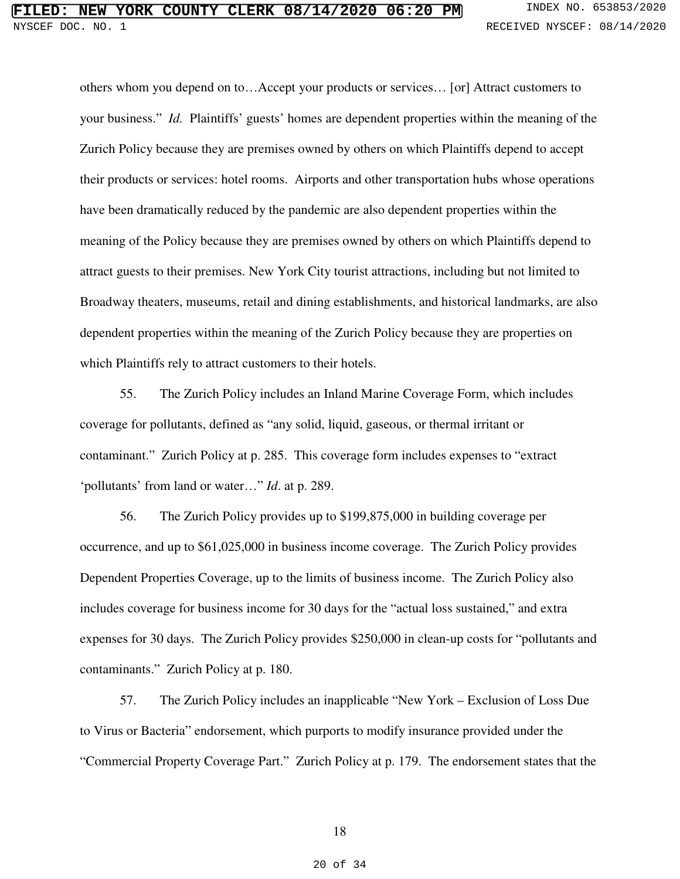# **FIRE COUNTY CLERK 08/14/2020 06:20 PM** INDEX NO. 653853/2020 NYSCEF DOC. NO. 1 **RECEIVED NYSCEF: 08/14/2020**

others whom you depend on to…Accept your products or services… [or] Attract customers to your business." *Id.* Plaintiffs' guests' homes are dependent properties within the meaning of the Zurich Policy because they are premises owned by others on which Plaintiffs depend to accept their products or services: hotel rooms. Airports and other transportation hubs whose operations have been dramatically reduced by the pandemic are also dependent properties within the meaning of the Policy because they are premises owned by others on which Plaintiffs depend to attract guests to their premises. New York City tourist attractions, including but not limited to Broadway theaters, museums, retail and dining establishments, and historical landmarks, are also dependent properties within the meaning of the Zurich Policy because they are properties on which Plaintiffs rely to attract customers to their hotels.

55. The Zurich Policy includes an Inland Marine Coverage Form, which includes coverage for pollutants, defined as "any solid, liquid, gaseous, or thermal irritant or contaminant." Zurich Policy at p. 285. This coverage form includes expenses to "extract 'pollutants' from land or water…" *Id*. at p. 289.

56. The Zurich Policy provides up to \$199,875,000 in building coverage per occurrence, and up to \$61,025,000 in business income coverage. The Zurich Policy provides Dependent Properties Coverage, up to the limits of business income. The Zurich Policy also includes coverage for business income for 30 days for the "actual loss sustained," and extra expenses for 30 days. The Zurich Policy provides \$250,000 in clean-up costs for "pollutants and contaminants." Zurich Policy at p. 180.

57. The Zurich Policy includes an inapplicable "New York – Exclusion of Loss Due to Virus or Bacteria" endorsement, which purports to modify insurance provided under the "Commercial Property Coverage Part." Zurich Policy at p. 179. The endorsement states that the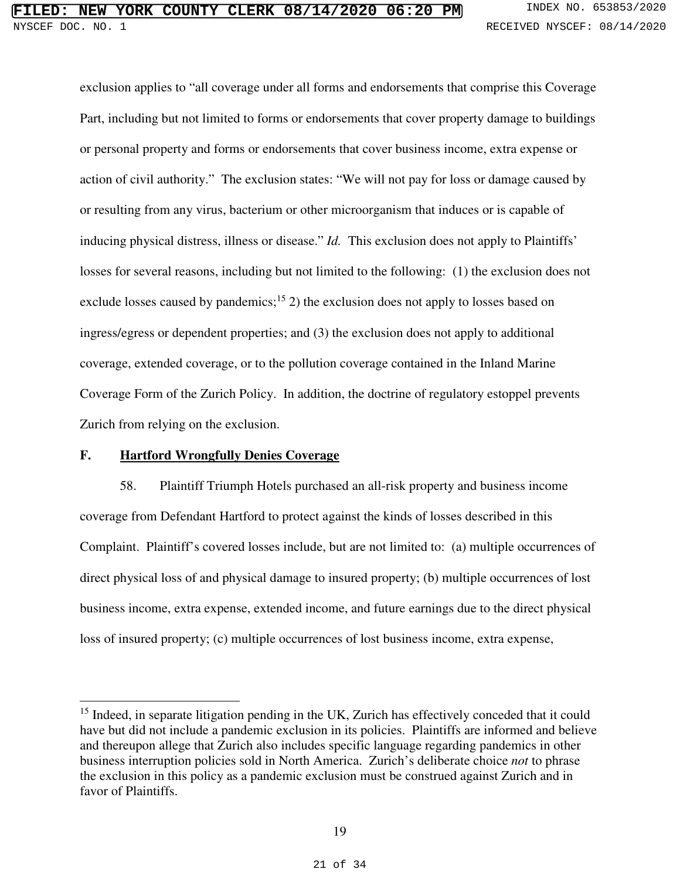exclusion applies to "all coverage under all forms and endorsements that comprise this Coverage Part, including but not limited to forms or endorsements that cover property damage to buildings or personal property and forms or endorsements that cover business income, extra expense or action of civil authority." The exclusion states: "We will not pay for loss or damage caused by or resulting from any virus, bacterium or other microorganism that induces or is capable of inducing physical distress, illness or disease." *Id.* This exclusion does not apply to Plaintiffs' losses for several reasons, including but not limited to the following: (1) the exclusion does not exclude losses caused by pandemics;<sup>15</sup> 2) the exclusion does not apply to losses based on ingress/egress or dependent properties; and (3) the exclusion does not apply to additional coverage, extended coverage, or to the pollution coverage contained in the Inland Marine Coverage Form of the Zurich Policy. In addition, the doctrine of regulatory estoppel prevents Zurich from relying on the exclusion.

## **F. Hartford Wrongfully Denies Coverage**

l

58. Plaintiff Triumph Hotels purchased an all-risk property and business income coverage from Defendant Hartford to protect against the kinds of losses described in this Complaint. Plaintiff's covered losses include, but are not limited to: (a) multiple occurrences of direct physical loss of and physical damage to insured property; (b) multiple occurrences of lost business income, extra expense, extended income, and future earnings due to the direct physical loss of insured property; (c) multiple occurrences of lost business income, extra expense,

<sup>&</sup>lt;sup>15</sup> Indeed, in separate litigation pending in the UK, Zurich has effectively conceded that it could have but did not include a pandemic exclusion in its policies. Plaintiffs are informed and believe and thereupon allege that Zurich also includes specific language regarding pandemics in other business interruption policies sold in North America. Zurich's deliberate choice *not* to phrase the exclusion in this policy as a pandemic exclusion must be construed against Zurich and in favor of Plaintiffs.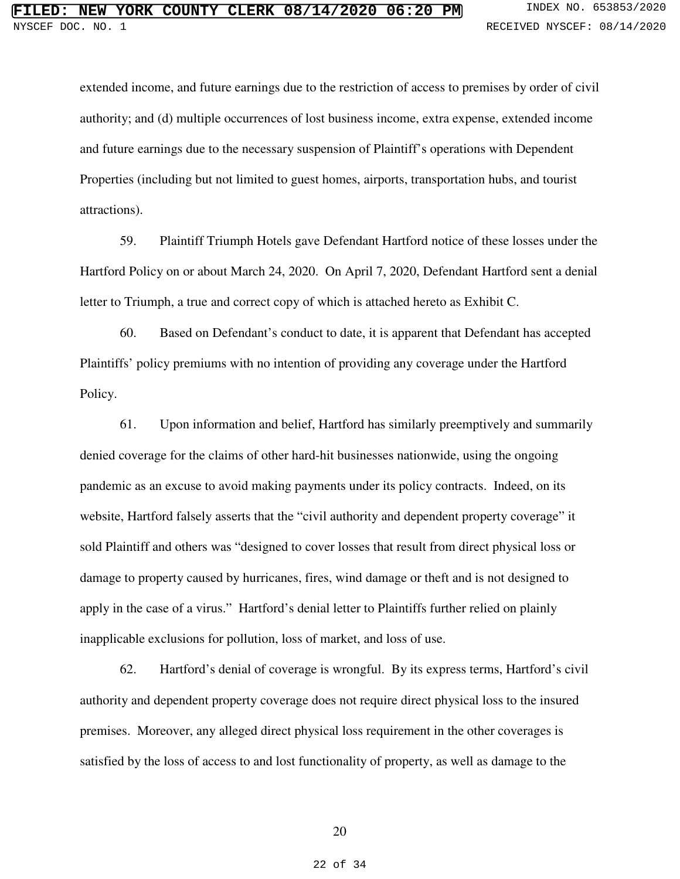extended income, and future earnings due to the restriction of access to premises by order of civil authority; and (d) multiple occurrences of lost business income, extra expense, extended income and future earnings due to the necessary suspension of Plaintiff's operations with Dependent Properties (including but not limited to guest homes, airports, transportation hubs, and tourist attractions).

59. Plaintiff Triumph Hotels gave Defendant Hartford notice of these losses under the Hartford Policy on or about March 24, 2020. On April 7, 2020, Defendant Hartford sent a denial letter to Triumph, a true and correct copy of which is attached hereto as Exhibit C.

60. Based on Defendant's conduct to date, it is apparent that Defendant has accepted Plaintiffs' policy premiums with no intention of providing any coverage under the Hartford Policy.

61. Upon information and belief, Hartford has similarly preemptively and summarily denied coverage for the claims of other hard-hit businesses nationwide, using the ongoing pandemic as an excuse to avoid making payments under its policy contracts. Indeed, on its website, Hartford falsely asserts that the "civil authority and dependent property coverage" it sold Plaintiff and others was "designed to cover losses that result from direct physical loss or damage to property caused by hurricanes, fires, wind damage or theft and is not designed to apply in the case of a virus." Hartford's denial letter to Plaintiffs further relied on plainly inapplicable exclusions for pollution, loss of market, and loss of use.

62. Hartford's denial of coverage is wrongful. By its express terms, Hartford's civil authority and dependent property coverage does not require direct physical loss to the insured premises. Moreover, any alleged direct physical loss requirement in the other coverages is satisfied by the loss of access to and lost functionality of property, as well as damage to the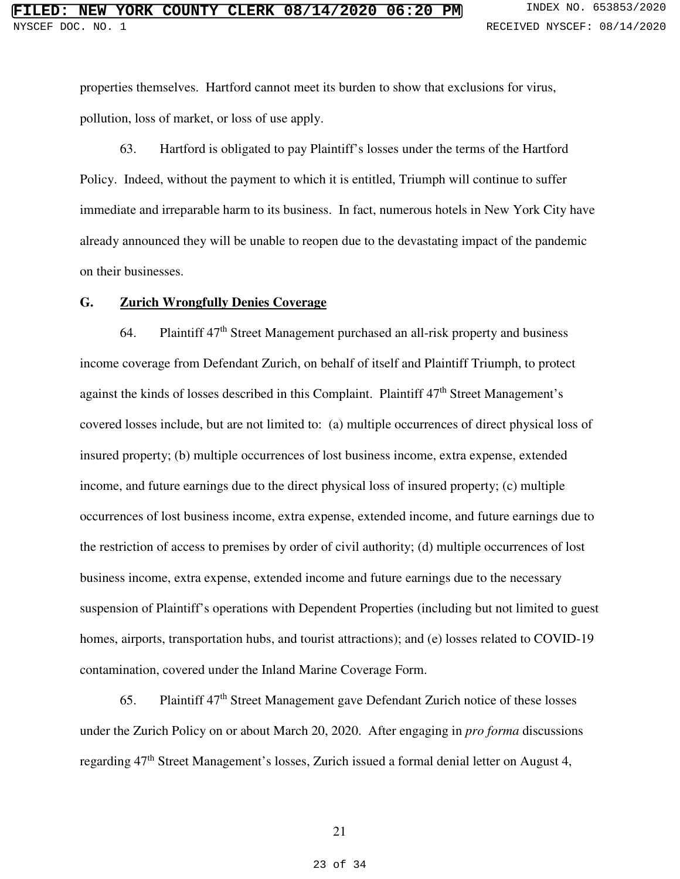properties themselves. Hartford cannot meet its burden to show that exclusions for virus, pollution, loss of market, or loss of use apply.

63. Hartford is obligated to pay Plaintiff's losses under the terms of the Hartford Policy. Indeed, without the payment to which it is entitled, Triumph will continue to suffer immediate and irreparable harm to its business. In fact, numerous hotels in New York City have already announced they will be unable to reopen due to the devastating impact of the pandemic on their businesses.

#### **G. Zurich Wrongfully Denies Coverage**

64. Plaintiff 47<sup>th</sup> Street Management purchased an all-risk property and business income coverage from Defendant Zurich, on behalf of itself and Plaintiff Triumph, to protect against the kinds of losses described in this Complaint. Plaintiff  $47<sup>th</sup>$  Street Management's covered losses include, but are not limited to: (a) multiple occurrences of direct physical loss of insured property; (b) multiple occurrences of lost business income, extra expense, extended income, and future earnings due to the direct physical loss of insured property; (c) multiple occurrences of lost business income, extra expense, extended income, and future earnings due to the restriction of access to premises by order of civil authority; (d) multiple occurrences of lost business income, extra expense, extended income and future earnings due to the necessary suspension of Plaintiff's operations with Dependent Properties (including but not limited to guest homes, airports, transportation hubs, and tourist attractions); and (e) losses related to COVID-19 contamination, covered under the Inland Marine Coverage Form.

65. Plaintiff 47th Street Management gave Defendant Zurich notice of these losses under the Zurich Policy on or about March 20, 2020. After engaging in *pro forma* discussions regarding 47th Street Management's losses, Zurich issued a formal denial letter on August 4,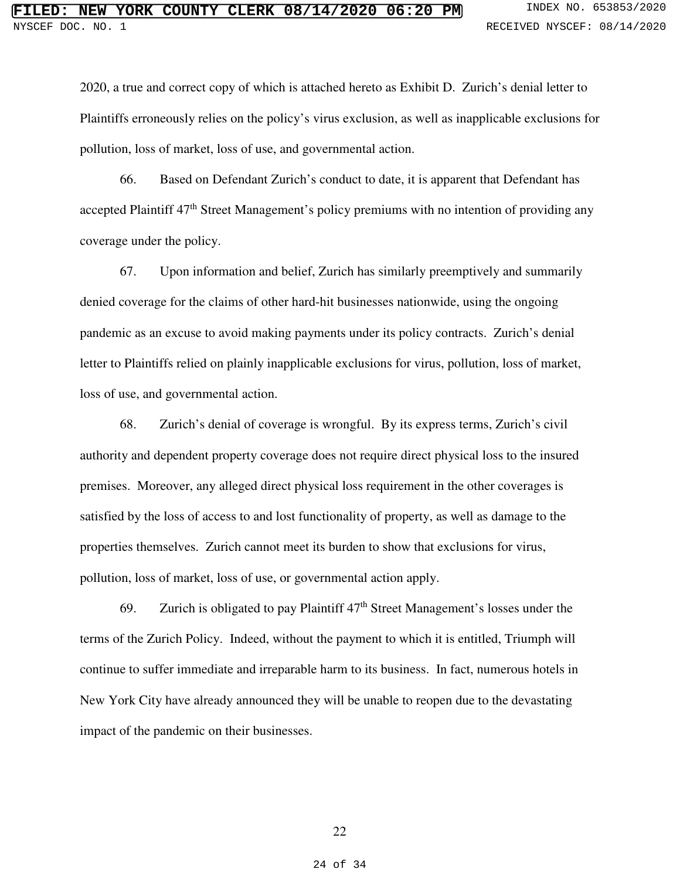2020, a true and correct copy of which is attached hereto as Exhibit D. Zurich's denial letter to Plaintiffs erroneously relies on the policy's virus exclusion, as well as inapplicable exclusions for pollution, loss of market, loss of use, and governmental action.

66. Based on Defendant Zurich's conduct to date, it is apparent that Defendant has accepted Plaintiff 47<sup>th</sup> Street Management's policy premiums with no intention of providing any coverage under the policy.

67. Upon information and belief, Zurich has similarly preemptively and summarily denied coverage for the claims of other hard-hit businesses nationwide, using the ongoing pandemic as an excuse to avoid making payments under its policy contracts. Zurich's denial letter to Plaintiffs relied on plainly inapplicable exclusions for virus, pollution, loss of market, loss of use, and governmental action.

68. Zurich's denial of coverage is wrongful. By its express terms, Zurich's civil authority and dependent property coverage does not require direct physical loss to the insured premises. Moreover, any alleged direct physical loss requirement in the other coverages is satisfied by the loss of access to and lost functionality of property, as well as damage to the properties themselves. Zurich cannot meet its burden to show that exclusions for virus, pollution, loss of market, loss of use, or governmental action apply.

69. Zurich is obligated to pay Plaintiff  $47<sup>th</sup>$  Street Management's losses under the terms of the Zurich Policy. Indeed, without the payment to which it is entitled, Triumph will continue to suffer immediate and irreparable harm to its business. In fact, numerous hotels in New York City have already announced they will be unable to reopen due to the devastating impact of the pandemic on their businesses.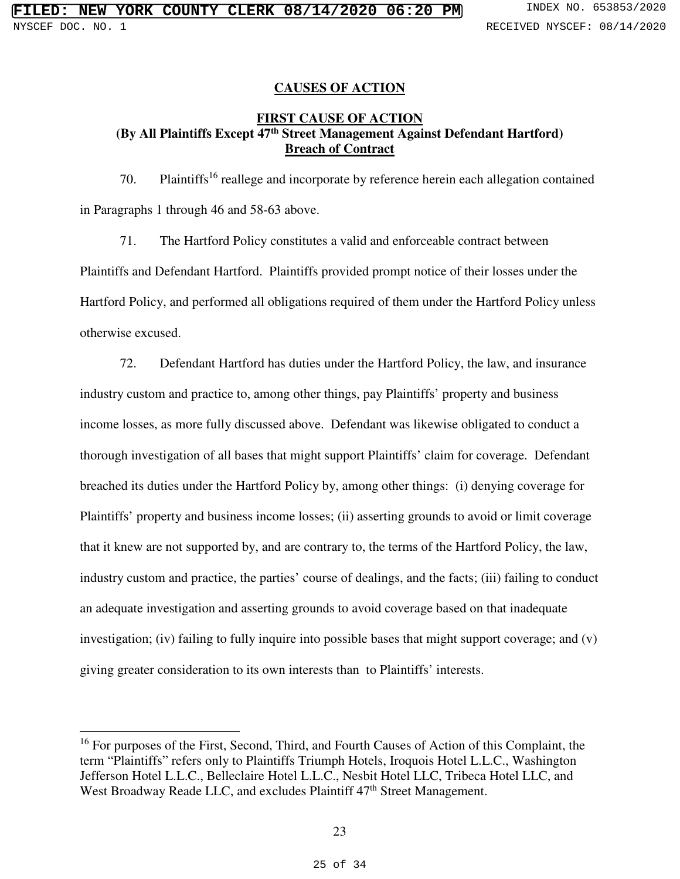## **CAUSES OF ACTION**

## **FIRST CAUSE OF ACTION (By All Plaintiffs Except 47th Street Management Against Defendant Hartford) Breach of Contract**

70. Plaintiffs<sup>16</sup> reallege and incorporate by reference herein each allegation contained in Paragraphs 1 through 46 and 58-63 above.

71. The Hartford Policy constitutes a valid and enforceable contract between Plaintiffs and Defendant Hartford. Plaintiffs provided prompt notice of their losses under the Hartford Policy, and performed all obligations required of them under the Hartford Policy unless otherwise excused.

72. Defendant Hartford has duties under the Hartford Policy, the law, and insurance industry custom and practice to, among other things, pay Plaintiffs' property and business income losses, as more fully discussed above. Defendant was likewise obligated to conduct a thorough investigation of all bases that might support Plaintiffs' claim for coverage. Defendant breached its duties under the Hartford Policy by, among other things: (i) denying coverage for Plaintiffs' property and business income losses; (ii) asserting grounds to avoid or limit coverage that it knew are not supported by, and are contrary to, the terms of the Hartford Policy, the law, industry custom and practice, the parties' course of dealings, and the facts; (iii) failing to conduct an adequate investigation and asserting grounds to avoid coverage based on that inadequate investigation; (iv) failing to fully inquire into possible bases that might support coverage; and (v) giving greater consideration to its own interests than to Plaintiffs' interests.

 $\overline{a}$ 

<sup>&</sup>lt;sup>16</sup> For purposes of the First, Second, Third, and Fourth Causes of Action of this Complaint, the term "Plaintiffs" refers only to Plaintiffs Triumph Hotels, Iroquois Hotel L.L.C., Washington Jefferson Hotel L.L.C., Belleclaire Hotel L.L.C., Nesbit Hotel LLC, Tribeca Hotel LLC, and West Broadway Reade LLC, and excludes Plaintiff  $47<sup>th</sup>$  Street Management.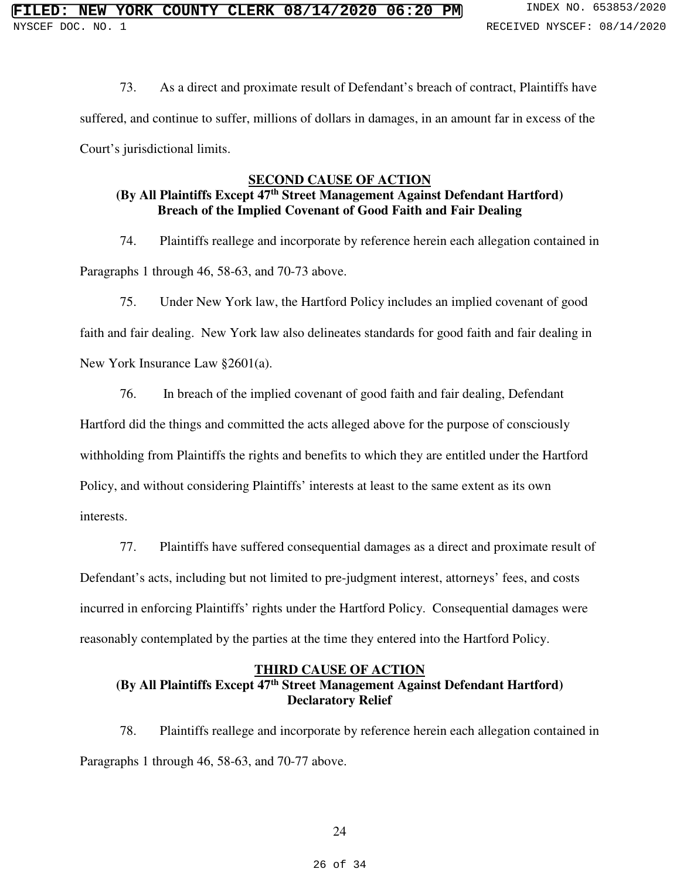73. As a direct and proximate result of Defendant's breach of contract, Plaintiffs have suffered, and continue to suffer, millions of dollars in damages, in an amount far in excess of the Court's jurisdictional limits.

### **SECOND CAUSE OF ACTION**

# **(By All Plaintiffs Except 47th Street Management Against Defendant Hartford) Breach of the Implied Covenant of Good Faith and Fair Dealing**

74. Plaintiffs reallege and incorporate by reference herein each allegation contained in Paragraphs 1 through 46, 58-63, and 70-73 above.

75. Under New York law, the Hartford Policy includes an implied covenant of good faith and fair dealing. New York law also delineates standards for good faith and fair dealing in New York Insurance Law §2601(a).

76. In breach of the implied covenant of good faith and fair dealing, Defendant Hartford did the things and committed the acts alleged above for the purpose of consciously withholding from Plaintiffs the rights and benefits to which they are entitled under the Hartford Policy, and without considering Plaintiffs' interests at least to the same extent as its own interests.

77. Plaintiffs have suffered consequential damages as a direct and proximate result of Defendant's acts, including but not limited to pre-judgment interest, attorneys' fees, and costs incurred in enforcing Plaintiffs' rights under the Hartford Policy. Consequential damages were reasonably contemplated by the parties at the time they entered into the Hartford Policy.

## **THIRD CAUSE OF ACTION (By All Plaintiffs Except 47th Street Management Against Defendant Hartford) Declaratory Relief**

78. Plaintiffs reallege and incorporate by reference herein each allegation contained in Paragraphs 1 through 46, 58-63, and 70-77 above.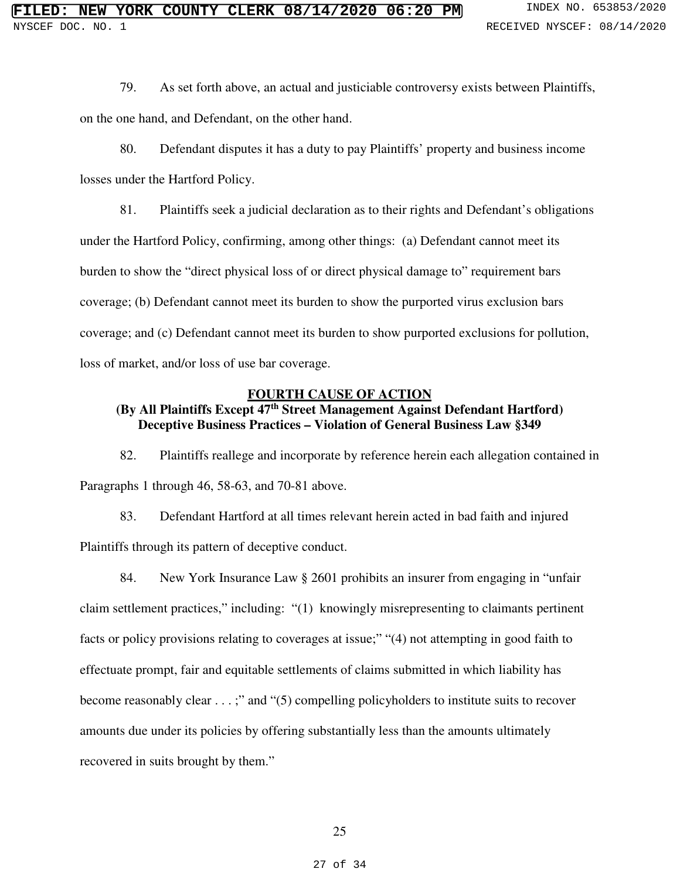79. As set forth above, an actual and justiciable controversy exists between Plaintiffs, on the one hand, and Defendant, on the other hand.

80. Defendant disputes it has a duty to pay Plaintiffs' property and business income losses under the Hartford Policy.

81. Plaintiffs seek a judicial declaration as to their rights and Defendant's obligations under the Hartford Policy, confirming, among other things: (a) Defendant cannot meet its burden to show the "direct physical loss of or direct physical damage to" requirement bars coverage; (b) Defendant cannot meet its burden to show the purported virus exclusion bars coverage; and (c) Defendant cannot meet its burden to show purported exclusions for pollution, loss of market, and/or loss of use bar coverage.

#### **FOURTH CAUSE OF ACTION**

# **(By All Plaintiffs Except 47th Street Management Against Defendant Hartford) Deceptive Business Practices – Violation of General Business Law §349**

82. Plaintiffs reallege and incorporate by reference herein each allegation contained in Paragraphs 1 through 46, 58-63, and 70-81 above.

83. Defendant Hartford at all times relevant herein acted in bad faith and injured Plaintiffs through its pattern of deceptive conduct.

84. New York Insurance Law § 2601 prohibits an insurer from engaging in "unfair claim settlement practices," including: "(1) knowingly misrepresenting to claimants pertinent facts or policy provisions relating to coverages at issue;" "(4) not attempting in good faith to effectuate prompt, fair and equitable settlements of claims submitted in which liability has become reasonably clear . . . ;" and "(5) compelling policyholders to institute suits to recover amounts due under its policies by offering substantially less than the amounts ultimately recovered in suits brought by them."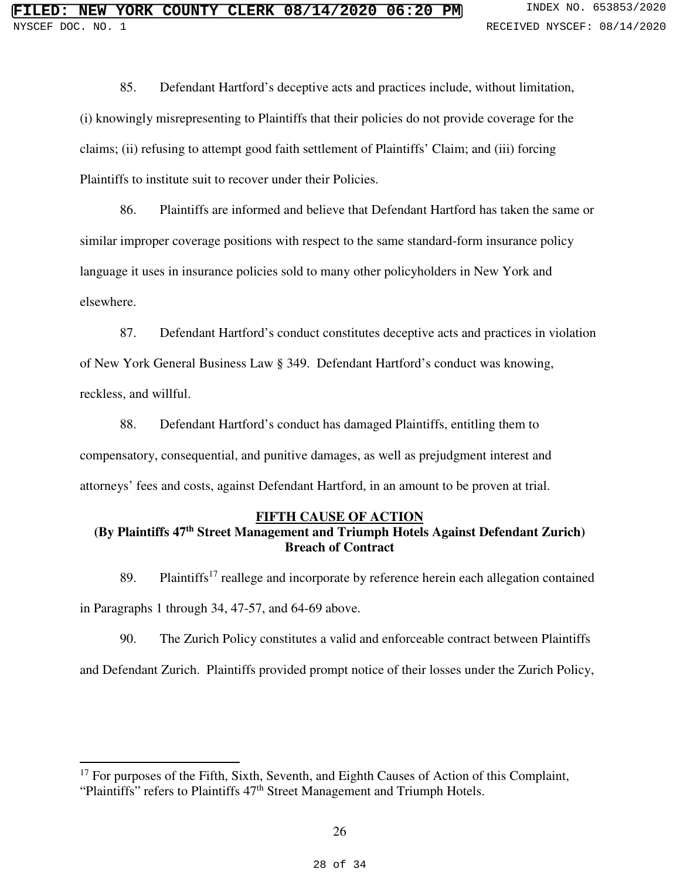85. Defendant Hartford's deceptive acts and practices include, without limitation, (i) knowingly misrepresenting to Plaintiffs that their policies do not provide coverage for the claims; (ii) refusing to attempt good faith settlement of Plaintiffs' Claim; and (iii) forcing Plaintiffs to institute suit to recover under their Policies.

86. Plaintiffs are informed and believe that Defendant Hartford has taken the same or similar improper coverage positions with respect to the same standard-form insurance policy language it uses in insurance policies sold to many other policyholders in New York and elsewhere.

87. Defendant Hartford's conduct constitutes deceptive acts and practices in violation of New York General Business Law § 349. Defendant Hartford's conduct was knowing,

reckless, and willful.

 $\overline{a}$ 

88. Defendant Hartford's conduct has damaged Plaintiffs, entitling them to compensatory, consequential, and punitive damages, as well as prejudgment interest and attorneys' fees and costs, against Defendant Hartford, in an amount to be proven at trial.

## **FIFTH CAUSE OF ACTION**

# **(By Plaintiffs 47th Street Management and Triumph Hotels Against Defendant Zurich) Breach of Contract**

89. Plaintiffs<sup>17</sup> reallege and incorporate by reference herein each allegation contained in Paragraphs 1 through 34, 47-57, and 64-69 above.

90. The Zurich Policy constitutes a valid and enforceable contract between Plaintiffs and Defendant Zurich. Plaintiffs provided prompt notice of their losses under the Zurich Policy,

<sup>&</sup>lt;sup>17</sup> For purposes of the Fifth, Sixth, Seventh, and Eighth Causes of Action of this Complaint, "Plaintiffs" refers to Plaintiffs  $47<sup>th</sup>$  Street Management and Triumph Hotels.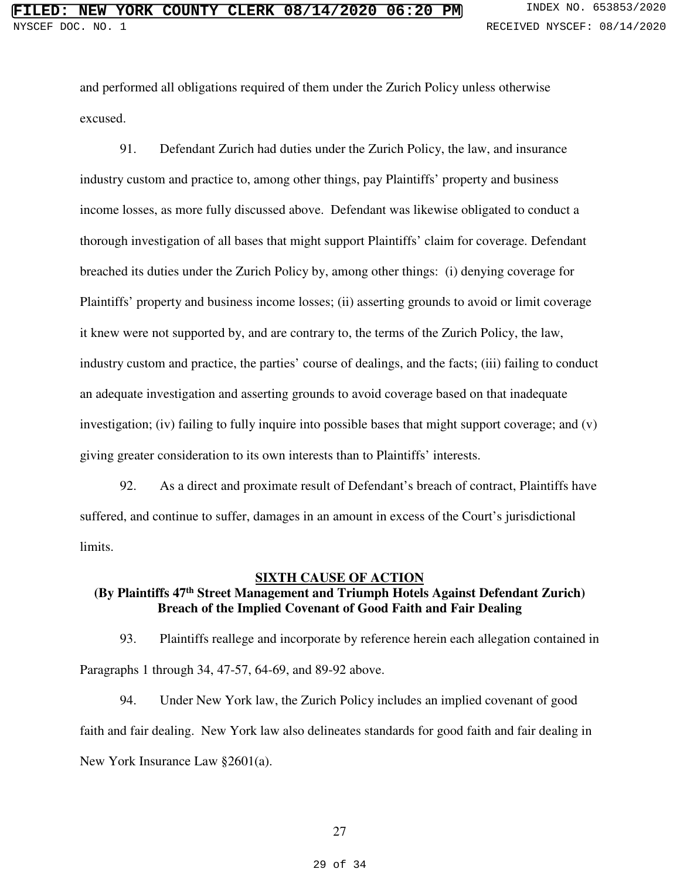and performed all obligations required of them under the Zurich Policy unless otherwise excused.

91. Defendant Zurich had duties under the Zurich Policy, the law, and insurance industry custom and practice to, among other things, pay Plaintiffs' property and business income losses, as more fully discussed above. Defendant was likewise obligated to conduct a thorough investigation of all bases that might support Plaintiffs' claim for coverage. Defendant breached its duties under the Zurich Policy by, among other things: (i) denying coverage for Plaintiffs' property and business income losses; (ii) asserting grounds to avoid or limit coverage it knew were not supported by, and are contrary to, the terms of the Zurich Policy, the law, industry custom and practice, the parties' course of dealings, and the facts; (iii) failing to conduct an adequate investigation and asserting grounds to avoid coverage based on that inadequate investigation; (iv) failing to fully inquire into possible bases that might support coverage; and (v) giving greater consideration to its own interests than to Plaintiffs' interests.

92. As a direct and proximate result of Defendant's breach of contract, Plaintiffs have suffered, and continue to suffer, damages in an amount in excess of the Court's jurisdictional limits.

#### **SIXTH CAUSE OF ACTION**

# **(By Plaintiffs 47th Street Management and Triumph Hotels Against Defendant Zurich) Breach of the Implied Covenant of Good Faith and Fair Dealing**

93. Plaintiffs reallege and incorporate by reference herein each allegation contained in Paragraphs 1 through 34, 47-57, 64-69, and 89-92 above.

94. Under New York law, the Zurich Policy includes an implied covenant of good faith and fair dealing. New York law also delineates standards for good faith and fair dealing in New York Insurance Law §2601(a).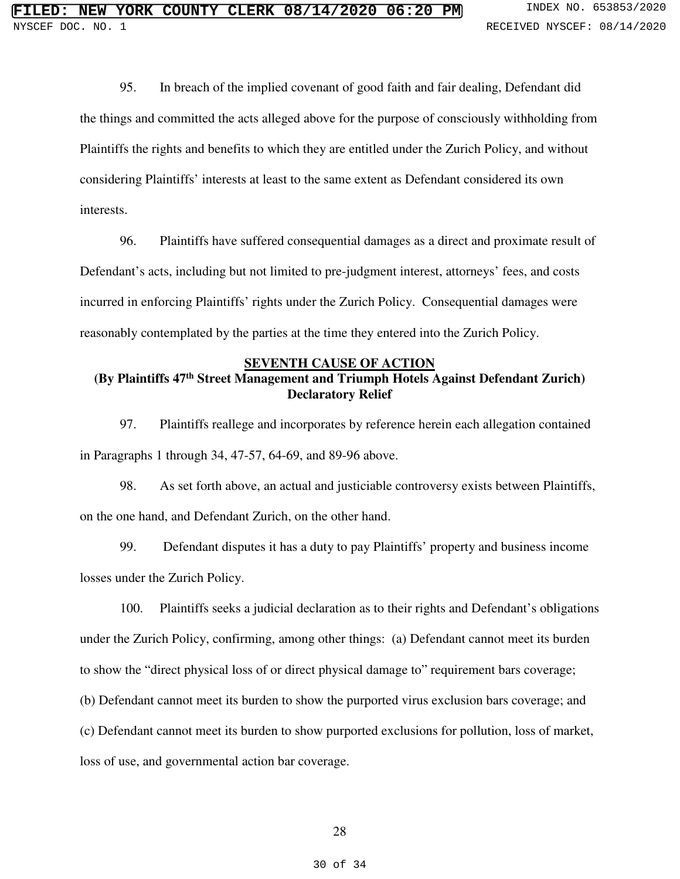95. In breach of the implied covenant of good faith and fair dealing, Defendant did the things and committed the acts alleged above for the purpose of consciously withholding from Plaintiffs the rights and benefits to which they are entitled under the Zurich Policy, and without considering Plaintiffs' interests at least to the same extent as Defendant considered its own interests.

96. Plaintiffs have suffered consequential damages as a direct and proximate result of Defendant's acts, including but not limited to pre-judgment interest, attorneys' fees, and costs incurred in enforcing Plaintiffs' rights under the Zurich Policy. Consequential damages were reasonably contemplated by the parties at the time they entered into the Zurich Policy.

#### **SEVENTH CAUSE OF ACTION**

# **(By Plaintiffs 47th Street Management and Triumph Hotels Against Defendant Zurich) Declaratory Relief**

97. Plaintiffs reallege and incorporates by reference herein each allegation contained in Paragraphs 1 through 34, 47-57, 64-69, and 89-96 above.

98. As set forth above, an actual and justiciable controversy exists between Plaintiffs, on the one hand, and Defendant Zurich, on the other hand.

99. Defendant disputes it has a duty to pay Plaintiffs' property and business income losses under the Zurich Policy.

100. Plaintiffs seeks a judicial declaration as to their rights and Defendant's obligations under the Zurich Policy, confirming, among other things: (a) Defendant cannot meet its burden to show the "direct physical loss of or direct physical damage to" requirement bars coverage; (b) Defendant cannot meet its burden to show the purported virus exclusion bars coverage; and (c) Defendant cannot meet its burden to show purported exclusions for pollution, loss of market, loss of use, and governmental action bar coverage.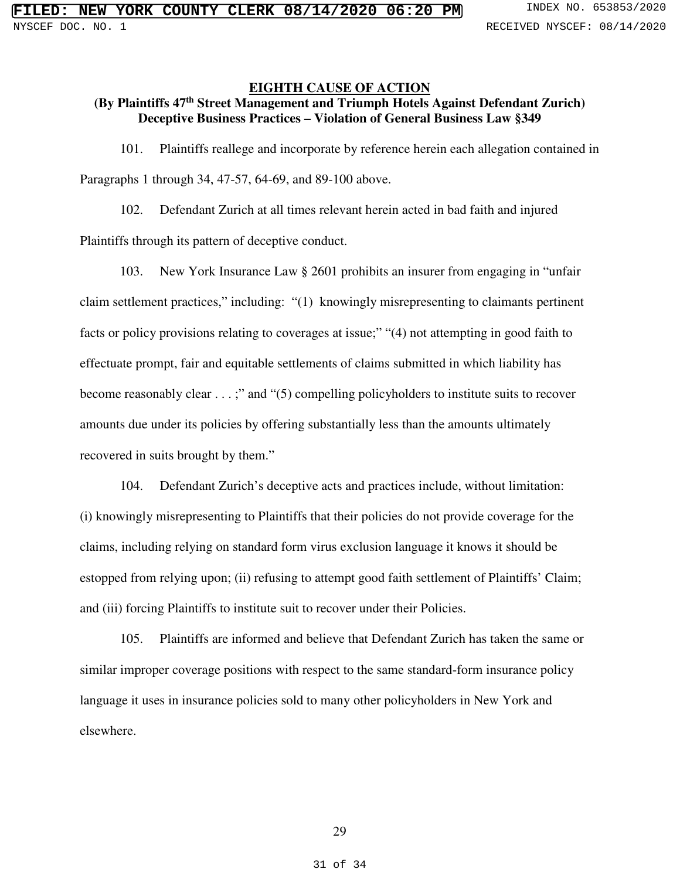## **EIGHTH CAUSE OF ACTION**

# **(By Plaintiffs 47th Street Management and Triumph Hotels Against Defendant Zurich) Deceptive Business Practices – Violation of General Business Law §349**

101. Plaintiffs reallege and incorporate by reference herein each allegation contained in Paragraphs 1 through 34, 47-57, 64-69, and 89-100 above.

102. Defendant Zurich at all times relevant herein acted in bad faith and injured Plaintiffs through its pattern of deceptive conduct.

103. New York Insurance Law § 2601 prohibits an insurer from engaging in "unfair claim settlement practices," including: "(1) knowingly misrepresenting to claimants pertinent facts or policy provisions relating to coverages at issue;" "(4) not attempting in good faith to effectuate prompt, fair and equitable settlements of claims submitted in which liability has become reasonably clear . . . ;" and "(5) compelling policyholders to institute suits to recover amounts due under its policies by offering substantially less than the amounts ultimately recovered in suits brought by them."

104. Defendant Zurich's deceptive acts and practices include, without limitation: (i) knowingly misrepresenting to Plaintiffs that their policies do not provide coverage for the claims, including relying on standard form virus exclusion language it knows it should be estopped from relying upon; (ii) refusing to attempt good faith settlement of Plaintiffs' Claim; and (iii) forcing Plaintiffs to institute suit to recover under their Policies.

105. Plaintiffs are informed and believe that Defendant Zurich has taken the same or similar improper coverage positions with respect to the same standard-form insurance policy language it uses in insurance policies sold to many other policyholders in New York and elsewhere.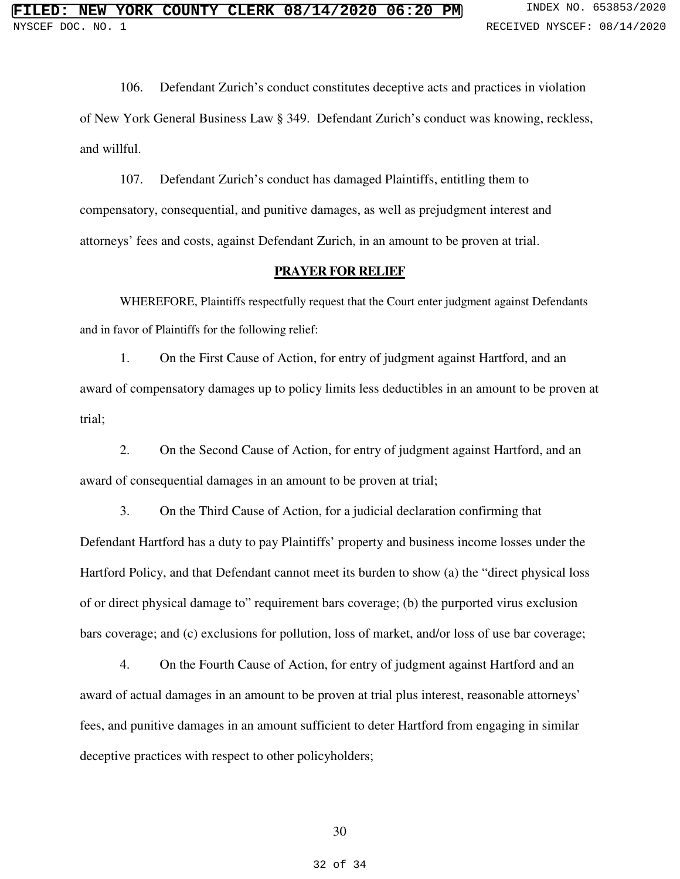106. Defendant Zurich's conduct constitutes deceptive acts and practices in violation of New York General Business Law § 349. Defendant Zurich's conduct was knowing, reckless, and willful.

107. Defendant Zurich's conduct has damaged Plaintiffs, entitling them to compensatory, consequential, and punitive damages, as well as prejudgment interest and attorneys' fees and costs, against Defendant Zurich, in an amount to be proven at trial.

#### **PRAYER FOR RELIEF**

WHEREFORE, Plaintiffs respectfully request that the Court enter judgment against Defendants and in favor of Plaintiffs for the following relief:

1. On the First Cause of Action, for entry of judgment against Hartford, and an award of compensatory damages up to policy limits less deductibles in an amount to be proven at trial;

2. On the Second Cause of Action, for entry of judgment against Hartford, and an award of consequential damages in an amount to be proven at trial;

3. On the Third Cause of Action, for a judicial declaration confirming that Defendant Hartford has a duty to pay Plaintiffs' property and business income losses under the Hartford Policy, and that Defendant cannot meet its burden to show (a) the "direct physical loss of or direct physical damage to" requirement bars coverage; (b) the purported virus exclusion bars coverage; and (c) exclusions for pollution, loss of market, and/or loss of use bar coverage;

4. On the Fourth Cause of Action, for entry of judgment against Hartford and an award of actual damages in an amount to be proven at trial plus interest, reasonable attorneys' fees, and punitive damages in an amount sufficient to deter Hartford from engaging in similar deceptive practices with respect to other policyholders;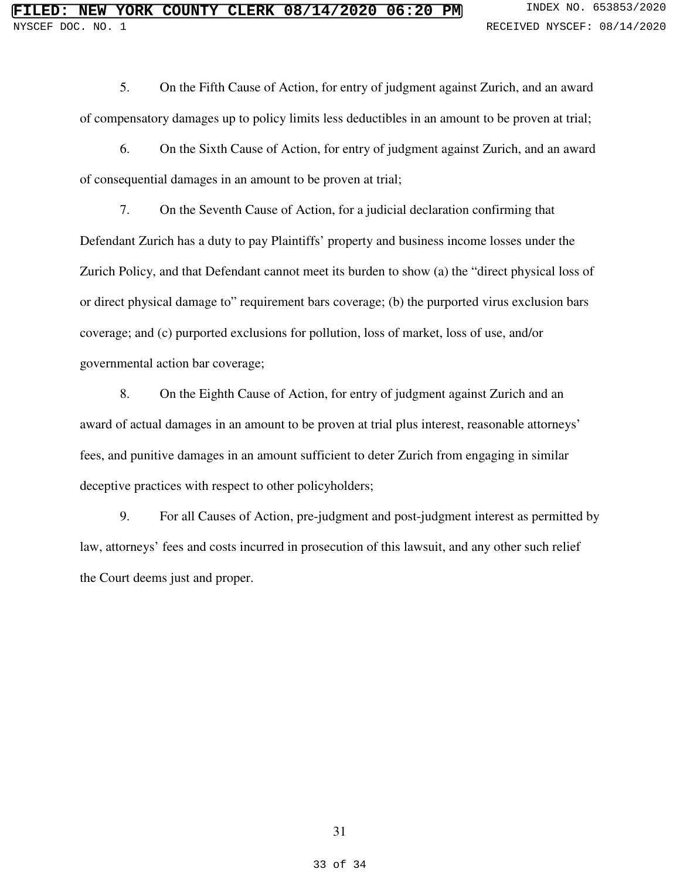5. On the Fifth Cause of Action, for entry of judgment against Zurich, and an award of compensatory damages up to policy limits less deductibles in an amount to be proven at trial;

6. On the Sixth Cause of Action, for entry of judgment against Zurich, and an award of consequential damages in an amount to be proven at trial;

7. On the Seventh Cause of Action, for a judicial declaration confirming that Defendant Zurich has a duty to pay Plaintiffs' property and business income losses under the Zurich Policy, and that Defendant cannot meet its burden to show (a) the "direct physical loss of or direct physical damage to" requirement bars coverage; (b) the purported virus exclusion bars coverage; and (c) purported exclusions for pollution, loss of market, loss of use, and/or governmental action bar coverage;

8. On the Eighth Cause of Action, for entry of judgment against Zurich and an award of actual damages in an amount to be proven at trial plus interest, reasonable attorneys' fees, and punitive damages in an amount sufficient to deter Zurich from engaging in similar deceptive practices with respect to other policyholders;

9. For all Causes of Action, pre-judgment and post-judgment interest as permitted by law, attorneys' fees and costs incurred in prosecution of this lawsuit, and any other such relief the Court deems just and proper.